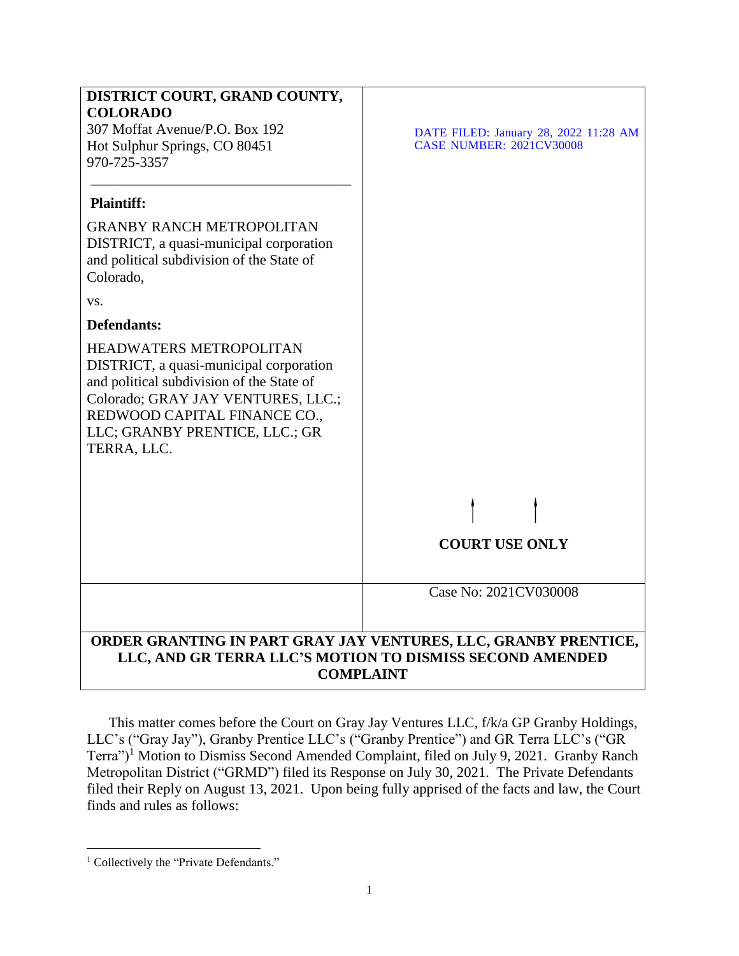

This matter comes before the Court on Gray Jay Ventures LLC, f/k/a GP Granby Holdings, LLC's ("Gray Jay"), Granby Prentice LLC's ("Granby Prentice") and GR Terra LLC's ("GR Terra")<sup>1</sup> Motion to Dismiss Second Amended Complaint, filed on July 9, 2021. Granby Ranch Metropolitan District ("GRMD") filed its Response on July 30, 2021. The Private Defendants filed their Reply on August 13, 2021. Upon being fully apprised of the facts and law, the Court finds and rules as follows:

 $\overline{\phantom{a}}$ <sup>1</sup> Collectively the "Private Defendants."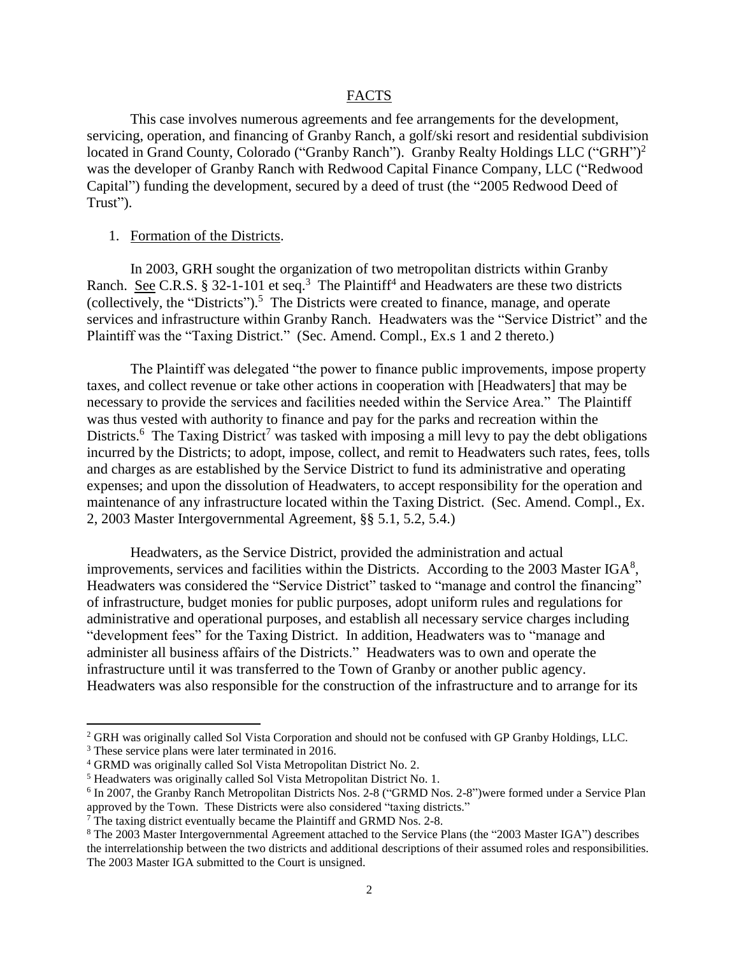#### FACTS

This case involves numerous agreements and fee arrangements for the development, servicing, operation, and financing of Granby Ranch, a golf/ski resort and residential subdivision located in Grand County, Colorado ("Granby Ranch"). Granby Realty Holdings LLC ("GRH")<sup>2</sup> was the developer of Granby Ranch with Redwood Capital Finance Company, LLC ("Redwood Capital") funding the development, secured by a deed of trust (the "2005 Redwood Deed of Trust").

## 1. Formation of the Districts.

In 2003, GRH sought the organization of two metropolitan districts within Granby Ranch. See C.R.S. § 32-1-101 et seq.<sup>3</sup> The Plaintiff<sup>4</sup> and Headwaters are these two districts (collectively, the "Districts").<sup>5</sup> The Districts were created to finance, manage, and operate services and infrastructure within Granby Ranch. Headwaters was the "Service District" and the Plaintiff was the "Taxing District." (Sec. Amend. Compl., Ex.s 1 and 2 thereto.)

The Plaintiff was delegated "the power to finance public improvements, impose property taxes, and collect revenue or take other actions in cooperation with [Headwaters] that may be necessary to provide the services and facilities needed within the Service Area." The Plaintiff was thus vested with authority to finance and pay for the parks and recreation within the Districts.<sup>6</sup> The Taxing District<sup>7</sup> was tasked with imposing a mill levy to pay the debt obligations incurred by the Districts; to adopt, impose, collect, and remit to Headwaters such rates, fees, tolls and charges as are established by the Service District to fund its administrative and operating expenses; and upon the dissolution of Headwaters, to accept responsibility for the operation and maintenance of any infrastructure located within the Taxing District. (Sec. Amend. Compl., Ex. 2, 2003 Master Intergovernmental Agreement, §§ 5.1, 5.2, 5.4.)

Headwaters, as the Service District, provided the administration and actual improvements, services and facilities within the Districts. According to the 2003 Master  $IGA<sup>8</sup>$ , Headwaters was considered the "Service District" tasked to "manage and control the financing" of infrastructure, budget monies for public purposes, adopt uniform rules and regulations for administrative and operational purposes, and establish all necessary service charges including "development fees" for the Taxing District. In addition, Headwaters was to "manage and administer all business affairs of the Districts." Headwaters was to own and operate the infrastructure until it was transferred to the Town of Granby or another public agency. Headwaters was also responsible for the construction of the infrastructure and to arrange for its

 $\overline{a}$ 

<sup>&</sup>lt;sup>2</sup> GRH was originally called Sol Vista Corporation and should not be confused with GP Granby Holdings, LLC.

<sup>&</sup>lt;sup>3</sup> These service plans were later terminated in 2016.

<sup>4</sup> GRMD was originally called Sol Vista Metropolitan District No. 2.

<sup>5</sup> Headwaters was originally called Sol Vista Metropolitan District No. 1.

<sup>&</sup>lt;sup>6</sup> In 2007, the Granby Ranch Metropolitan Districts Nos. 2-8 ("GRMD Nos. 2-8")were formed under a Service Plan approved by the Town. These Districts were also considered "taxing districts."

<sup>&</sup>lt;sup>7</sup> The taxing district eventually became the Plaintiff and GRMD Nos. 2-8.

<sup>8</sup> The 2003 Master Intergovernmental Agreement attached to the Service Plans (the "2003 Master IGA") describes the interrelationship between the two districts and additional descriptions of their assumed roles and responsibilities. The 2003 Master IGA submitted to the Court is unsigned.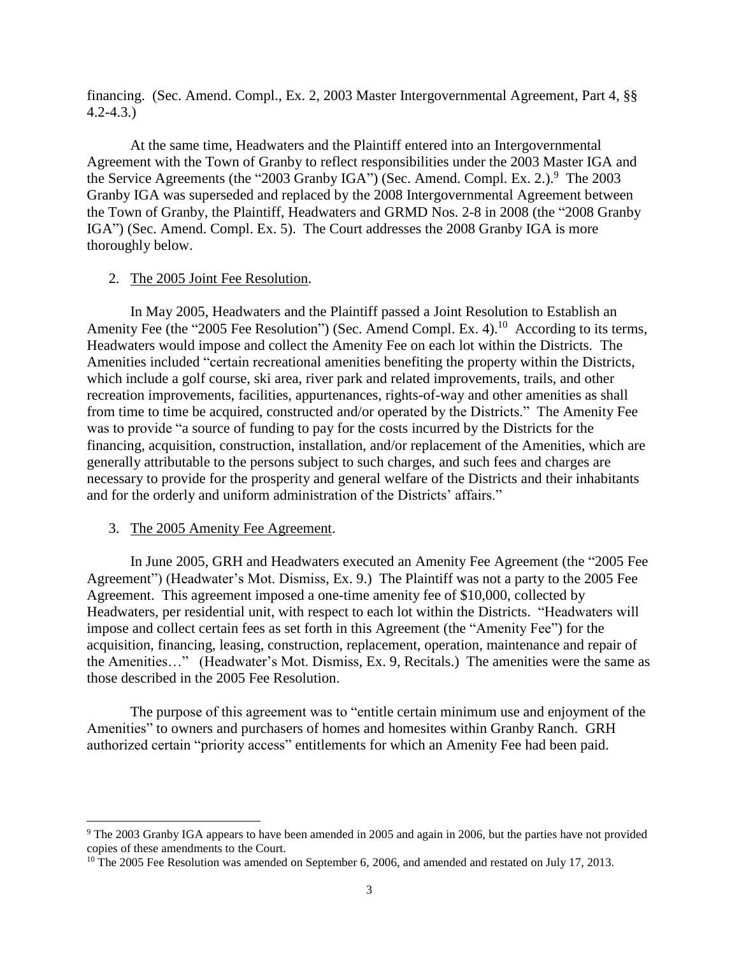financing. (Sec. Amend. Compl., Ex. 2, 2003 Master Intergovernmental Agreement, Part 4, §§ 4.2-4.3.)

At the same time, Headwaters and the Plaintiff entered into an Intergovernmental Agreement with the Town of Granby to reflect responsibilities under the 2003 Master IGA and the Service Agreements (the "2003 Granby IGA") (Sec. Amend. Compl. Ex. 2.).<sup>9</sup> The 2003 Granby IGA was superseded and replaced by the 2008 Intergovernmental Agreement between the Town of Granby, the Plaintiff, Headwaters and GRMD Nos. 2-8 in 2008 (the "2008 Granby IGA") (Sec. Amend. Compl. Ex. 5). The Court addresses the 2008 Granby IGA is more thoroughly below.

## 2. The 2005 Joint Fee Resolution.

In May 2005, Headwaters and the Plaintiff passed a Joint Resolution to Establish an Amenity Fee (the "2005 Fee Resolution") (Sec. Amend Compl. Ex. 4).<sup>10</sup> According to its terms, Headwaters would impose and collect the Amenity Fee on each lot within the Districts. The Amenities included "certain recreational amenities benefiting the property within the Districts, which include a golf course, ski area, river park and related improvements, trails, and other recreation improvements, facilities, appurtenances, rights-of-way and other amenities as shall from time to time be acquired, constructed and/or operated by the Districts." The Amenity Fee was to provide "a source of funding to pay for the costs incurred by the Districts for the financing, acquisition, construction, installation, and/or replacement of the Amenities, which are generally attributable to the persons subject to such charges, and such fees and charges are necessary to provide for the prosperity and general welfare of the Districts and their inhabitants and for the orderly and uniform administration of the Districts' affairs."

#### 3. The 2005 Amenity Fee Agreement.

 $\overline{\phantom{a}}$ 

In June 2005, GRH and Headwaters executed an Amenity Fee Agreement (the "2005 Fee Agreement") (Headwater's Mot. Dismiss, Ex. 9.) The Plaintiff was not a party to the 2005 Fee Agreement. This agreement imposed a one-time amenity fee of \$10,000, collected by Headwaters, per residential unit, with respect to each lot within the Districts. "Headwaters will impose and collect certain fees as set forth in this Agreement (the "Amenity Fee") for the acquisition, financing, leasing, construction, replacement, operation, maintenance and repair of the Amenities…" (Headwater's Mot. Dismiss, Ex. 9, Recitals.) The amenities were the same as those described in the 2005 Fee Resolution.

The purpose of this agreement was to "entitle certain minimum use and enjoyment of the Amenities" to owners and purchasers of homes and homesites within Granby Ranch. GRH authorized certain "priority access" entitlements for which an Amenity Fee had been paid.

<sup>9</sup> The 2003 Granby IGA appears to have been amended in 2005 and again in 2006, but the parties have not provided copies of these amendments to the Court.

<sup>&</sup>lt;sup>10</sup> The 2005 Fee Resolution was amended on September 6, 2006, and amended and restated on July 17, 2013.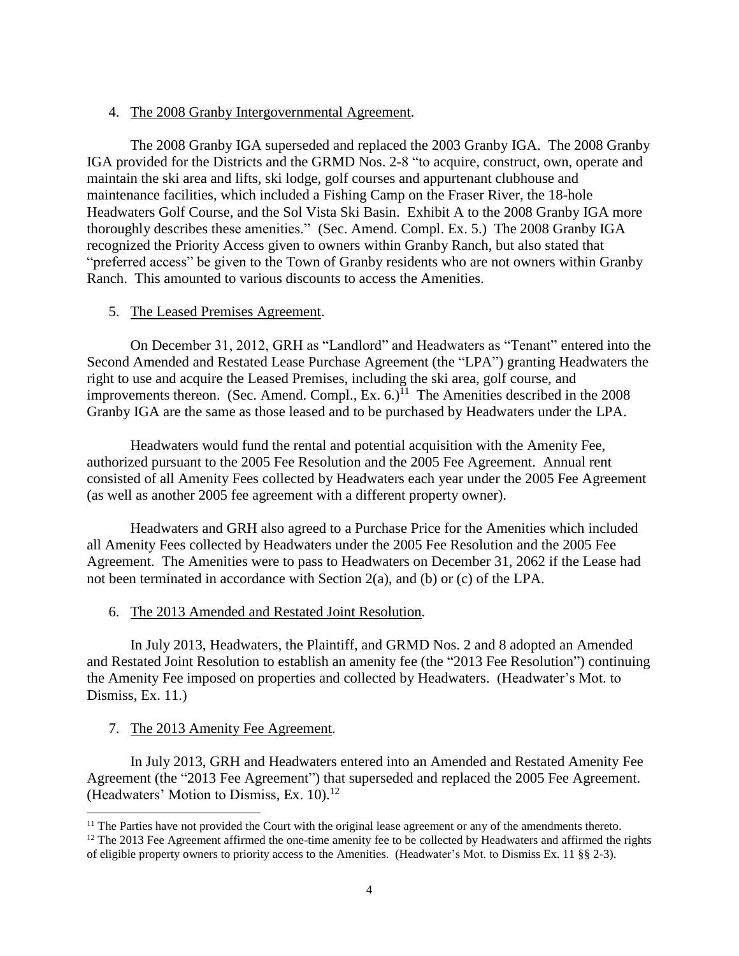# 4. The 2008 Granby Intergovernmental Agreement.

The 2008 Granby IGA superseded and replaced the 2003 Granby IGA. The 2008 Granby IGA provided for the Districts and the GRMD Nos. 2-8 "to acquire, construct, own, operate and maintain the ski area and lifts, ski lodge, golf courses and appurtenant clubhouse and maintenance facilities, which included a Fishing Camp on the Fraser River, the 18-hole Headwaters Golf Course, and the Sol Vista Ski Basin. Exhibit A to the 2008 Granby IGA more thoroughly describes these amenities." (Sec. Amend. Compl. Ex. 5.) The 2008 Granby IGA recognized the Priority Access given to owners within Granby Ranch, but also stated that "preferred access" be given to the Town of Granby residents who are not owners within Granby Ranch. This amounted to various discounts to access the Amenities.

## 5. The Leased Premises Agreement.

On December 31, 2012, GRH as "Landlord" and Headwaters as "Tenant" entered into the Second Amended and Restated Lease Purchase Agreement (the "LPA") granting Headwaters the right to use and acquire the Leased Premises, including the ski area, golf course, and improvements thereon. (Sec. Amend. Compl., Ex. 6.)<sup>11</sup> The Amenities described in the 2008 Granby IGA are the same as those leased and to be purchased by Headwaters under the LPA.

Headwaters would fund the rental and potential acquisition with the Amenity Fee, authorized pursuant to the 2005 Fee Resolution and the 2005 Fee Agreement. Annual rent consisted of all Amenity Fees collected by Headwaters each year under the 2005 Fee Agreement (as well as another 2005 fee agreement with a different property owner).

Headwaters and GRH also agreed to a Purchase Price for the Amenities which included all Amenity Fees collected by Headwaters under the 2005 Fee Resolution and the 2005 Fee Agreement. The Amenities were to pass to Headwaters on December 31, 2062 if the Lease had not been terminated in accordance with Section 2(a), and (b) or (c) of the LPA.

# 6. The 2013 Amended and Restated Joint Resolution.

In July 2013, Headwaters, the Plaintiff, and GRMD Nos. 2 and 8 adopted an Amended and Restated Joint Resolution to establish an amenity fee (the "2013 Fee Resolution") continuing the Amenity Fee imposed on properties and collected by Headwaters. (Headwater's Mot. to Dismiss, Ex. 11.)

# 7. The 2013 Amenity Fee Agreement.

 $\overline{\phantom{a}}$ 

In July 2013, GRH and Headwaters entered into an Amended and Restated Amenity Fee Agreement (the "2013 Fee Agreement") that superseded and replaced the 2005 Fee Agreement. (Headwaters' Motion to Dismiss, Ex.  $10$ ).<sup>12</sup>

 $<sup>11</sup>$  The Parties have not provided the Court with the original lease agreement or any of the amendments thereto.</sup>

<sup>&</sup>lt;sup>12</sup> The 2013 Fee Agreement affirmed the one-time amenity fee to be collected by Headwaters and affirmed the rights of eligible property owners to priority access to the Amenities. (Headwater's Mot. to Dismiss Ex. 11 §§ 2-3).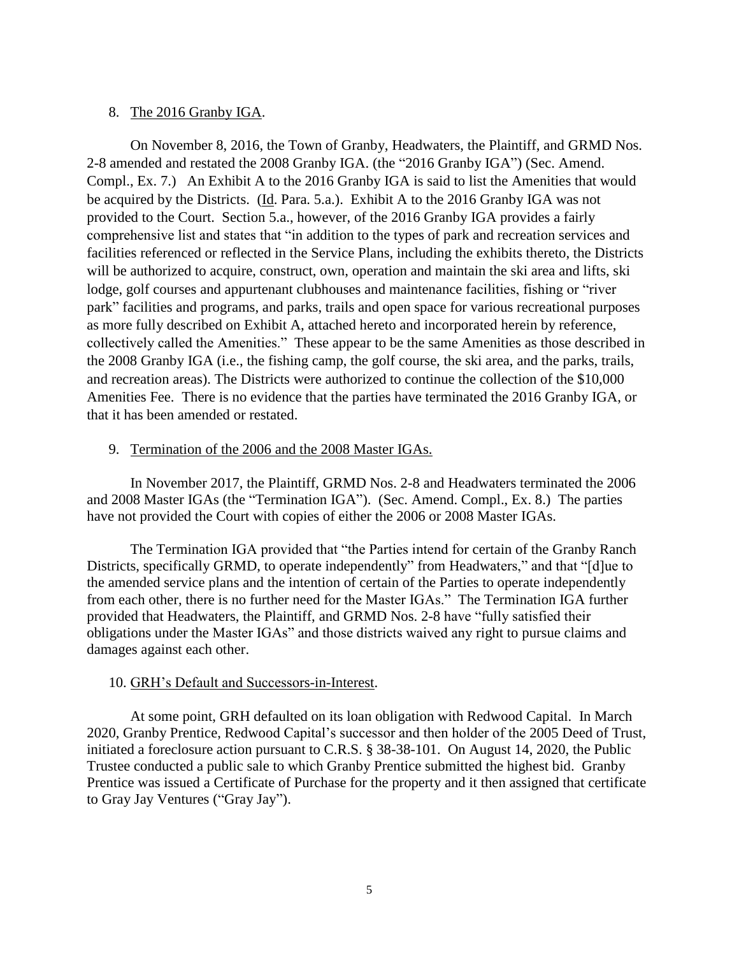## 8. The 2016 Granby IGA.

On November 8, 2016, the Town of Granby, Headwaters, the Plaintiff, and GRMD Nos. 2-8 amended and restated the 2008 Granby IGA. (the "2016 Granby IGA") (Sec. Amend. Compl., Ex. 7.) An Exhibit A to the 2016 Granby IGA is said to list the Amenities that would be acquired by the Districts. (Id. Para. 5.a.). Exhibit A to the 2016 Granby IGA was not provided to the Court. Section 5.a., however, of the 2016 Granby IGA provides a fairly comprehensive list and states that "in addition to the types of park and recreation services and facilities referenced or reflected in the Service Plans, including the exhibits thereto, the Districts will be authorized to acquire, construct, own, operation and maintain the ski area and lifts, ski lodge, golf courses and appurtenant clubhouses and maintenance facilities, fishing or "river park" facilities and programs, and parks, trails and open space for various recreational purposes as more fully described on Exhibit A, attached hereto and incorporated herein by reference, collectively called the Amenities." These appear to be the same Amenities as those described in the 2008 Granby IGA (i.e., the fishing camp, the golf course, the ski area, and the parks, trails, and recreation areas). The Districts were authorized to continue the collection of the \$10,000 Amenities Fee. There is no evidence that the parties have terminated the 2016 Granby IGA, or that it has been amended or restated.

## 9. Termination of the 2006 and the 2008 Master IGAs.

In November 2017, the Plaintiff, GRMD Nos. 2-8 and Headwaters terminated the 2006 and 2008 Master IGAs (the "Termination IGA"). (Sec. Amend. Compl., Ex. 8.) The parties have not provided the Court with copies of either the 2006 or 2008 Master IGAs.

The Termination IGA provided that "the Parties intend for certain of the Granby Ranch Districts, specifically GRMD, to operate independently" from Headwaters," and that "[d]ue to the amended service plans and the intention of certain of the Parties to operate independently from each other, there is no further need for the Master IGAs." The Termination IGA further provided that Headwaters, the Plaintiff, and GRMD Nos. 2-8 have "fully satisfied their obligations under the Master IGAs" and those districts waived any right to pursue claims and damages against each other.

# 10. GRH's Default and Successors-in-Interest.

At some point, GRH defaulted on its loan obligation with Redwood Capital. In March 2020, Granby Prentice, Redwood Capital's successor and then holder of the 2005 Deed of Trust, initiated a foreclosure action pursuant to C.R.S. § 38-38-101. On August 14, 2020, the Public Trustee conducted a public sale to which Granby Prentice submitted the highest bid. Granby Prentice was issued a Certificate of Purchase for the property and it then assigned that certificate to Gray Jay Ventures ("Gray Jay").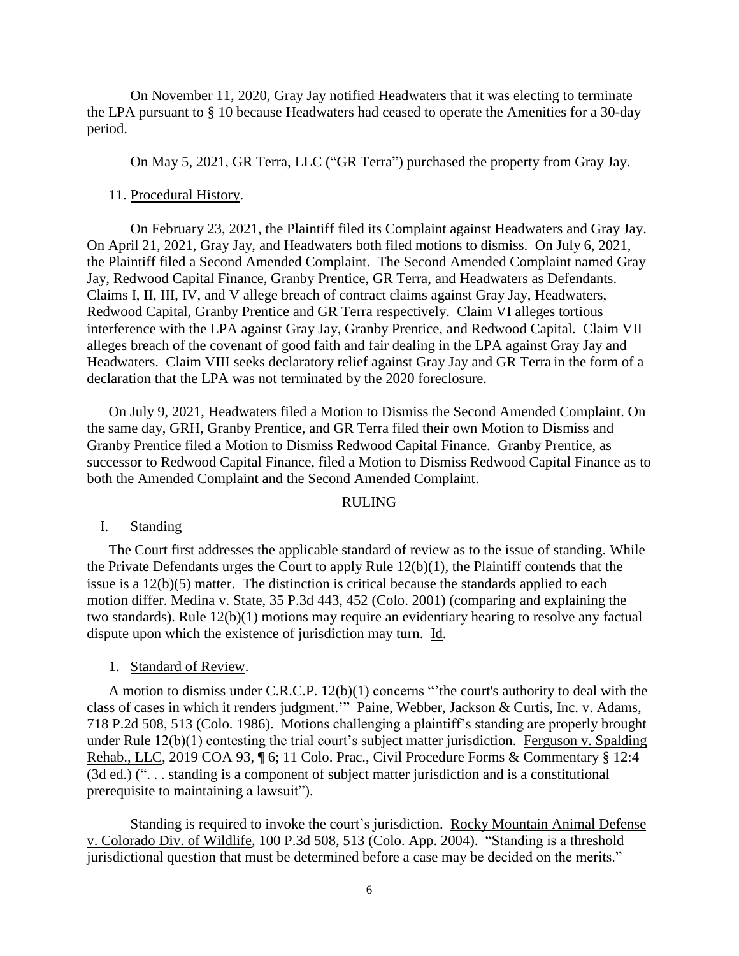On November 11, 2020, Gray Jay notified Headwaters that it was electing to terminate the LPA pursuant to § 10 because Headwaters had ceased to operate the Amenities for a 30-day period.

On May 5, 2021, GR Terra, LLC ("GR Terra") purchased the property from Gray Jay.

#### 11. Procedural History.

On February 23, 2021, the Plaintiff filed its Complaint against Headwaters and Gray Jay. On April 21, 2021, Gray Jay, and Headwaters both filed motions to dismiss. On July 6, 2021, the Plaintiff filed a Second Amended Complaint. The Second Amended Complaint named Gray Jay, Redwood Capital Finance, Granby Prentice, GR Terra, and Headwaters as Defendants. Claims I, II, III, IV, and V allege breach of contract claims against Gray Jay, Headwaters, Redwood Capital, Granby Prentice and GR Terra respectively. Claim VI alleges tortious interference with the LPA against Gray Jay, Granby Prentice, and Redwood Capital. Claim VII alleges breach of the covenant of good faith and fair dealing in the LPA against Gray Jay and Headwaters. Claim VIII seeks declaratory relief against Gray Jay and GR Terra in the form of a declaration that the LPA was not terminated by the 2020 foreclosure.

On July 9, 2021, Headwaters filed a Motion to Dismiss the Second Amended Complaint. On the same day, GRH, Granby Prentice, and GR Terra filed their own Motion to Dismiss and Granby Prentice filed a Motion to Dismiss Redwood Capital Finance. Granby Prentice, as successor to Redwood Capital Finance, filed a Motion to Dismiss Redwood Capital Finance as to both the Amended Complaint and the Second Amended Complaint.

#### RULING

#### I. Standing

The Court first addresses the applicable standard of review as to the issue of standing. While the Private Defendants urges the Court to apply Rule 12(b)(1), the Plaintiff contends that the issue is a 12(b)(5) matter. The distinction is critical because the standards applied to each motion differ. Medina v. State, 35 P.3d 443, 452 (Colo. 2001) (comparing and explaining the two standards). Rule 12(b)(1) motions may require an evidentiary hearing to resolve any factual dispute upon which the existence of jurisdiction may turn. Id.

## 1. Standard of Review.

A motion to dismiss under C.R.C.P. 12(b)(1) concerns "'the court's authority to deal with the class of cases in which it renders judgment.'" Paine, Webber, Jackson & Curtis, Inc. v. Adams, 718 P.2d 508, 513 (Colo. 1986). Motions challenging a plaintiff's standing are properly brought under Rule 12(b)(1) contesting the trial court's subject matter jurisdiction. Ferguson v. Spalding Rehab., LLC, 2019 COA 93, ¶ 6; 11 Colo. Prac., Civil Procedure Forms & Commentary § 12:4 (3d ed.) (". . . standing is a component of subject matter jurisdiction and is a constitutional prerequisite to maintaining a lawsuit").

Standing is required to invoke the court's jurisdiction. Rocky Mountain Animal Defense v. Colorado Div. of Wildlife, 100 P.3d 508, 513 (Colo. App. 2004). "Standing is a threshold jurisdictional question that must be determined before a case may be decided on the merits."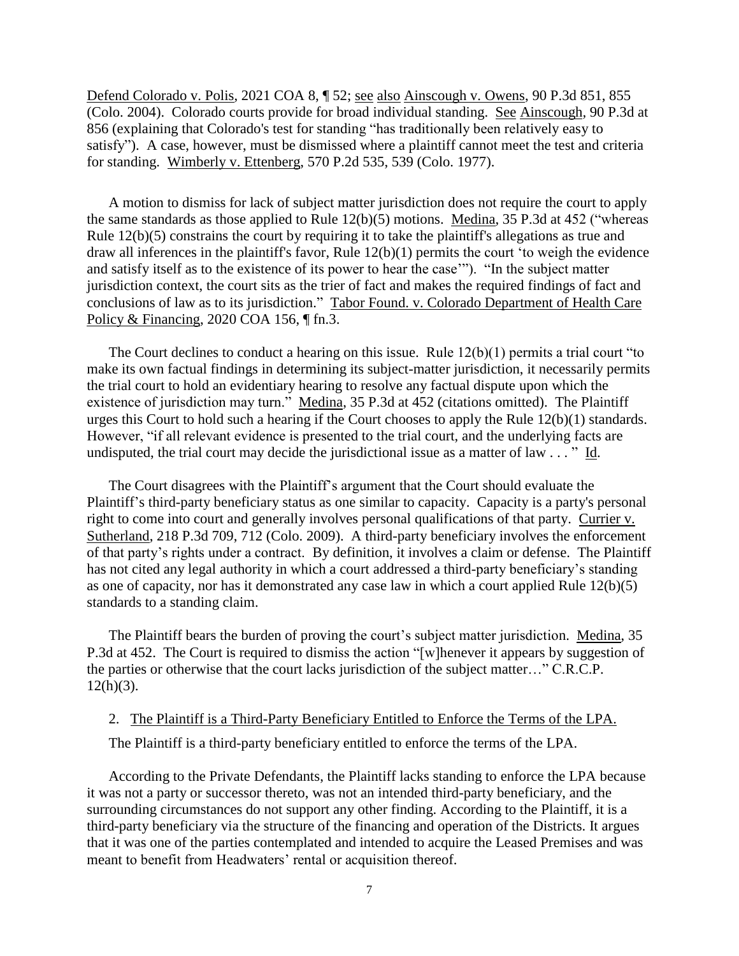Defend Colorado v. Polis, 2021 COA 8, ¶ 52; see also Ainscough v. Owens, 90 P.3d 851, 855 (Colo. 2004). Colorado courts provide for broad individual standing. See Ainscough*,* 90 P.3d at 856 (explaining that Colorado's test for standing "has traditionally been relatively easy to satisfy"). A case, however, must be dismissed where a plaintiff cannot meet the test and criteria for standing. Wimberly v. Ettenberg, 570 P.2d 535, 539 (Colo. 1977).

A motion to dismiss for lack of subject matter jurisdiction does not require the court to apply the same standards as those applied to Rule 12(b)(5) motions. Medina, 35 P.3d at 452 ("whereas Rule 12(b)(5) constrains the court by requiring it to take the plaintiff's allegations as true and draw all inferences in the plaintiff's favor, Rule 12(b)(1) permits the court 'to weigh the evidence and satisfy itself as to the existence of its power to hear the case'"). "In the subject matter jurisdiction context, the court sits as the trier of fact and makes the required findings of fact and conclusions of law as to its jurisdiction." Tabor Found. v. Colorado Department of Health Care Policy & Financing, 2020 COA 156, ¶ fn.3.

The Court declines to conduct a hearing on this issue. Rule 12(b)(1) permits a trial court "to make its own factual findings in determining its subject-matter jurisdiction, it necessarily permits the trial court to hold an evidentiary hearing to resolve any factual dispute upon which the existence of jurisdiction may turn." Medina, 35 P.3d at 452 (citations omitted). The Plaintiff urges this Court to hold such a hearing if the Court chooses to apply the Rule 12(b)(1) standards. However, "if all relevant evidence is presented to the trial court, and the underlying facts are undisputed, the trial court may decide the jurisdictional issue as a matter of law . . . " Id.

The Court disagrees with the Plaintiff's argument that the Court should evaluate the Plaintiff's third-party beneficiary status as one similar to capacity. Capacity is a party's personal right to come into court and generally involves personal qualifications of that party. Currier v. Sutherland, 218 P.3d 709, 712 (Colo. 2009). A third-party beneficiary involves the enforcement of that party's rights under a contract. By definition, it involves a claim or defense. The Plaintiff has not cited any legal authority in which a court addressed a third-party beneficiary's standing as one of capacity, nor has it demonstrated any case law in which a court applied Rule 12(b)(5) standards to a standing claim.

The Plaintiff bears the burden of proving the court's subject matter jurisdiction. Medina, 35 P.3d at 452. The Court is required to dismiss the action "[w]henever it appears by suggestion of the parties or otherwise that the court lacks jurisdiction of the subject matter…" C.R.C.P.  $12(h)(3)$ .

2. The Plaintiff is a Third-Party Beneficiary Entitled to Enforce the Terms of the LPA.

The Plaintiff is a third-party beneficiary entitled to enforce the terms of the LPA.

According to the Private Defendants, the Plaintiff lacks standing to enforce the LPA because it was not a party or successor thereto, was not an intended third-party beneficiary, and the surrounding circumstances do not support any other finding. According to the Plaintiff, it is a third-party beneficiary via the structure of the financing and operation of the Districts. It argues that it was one of the parties contemplated and intended to acquire the Leased Premises and was meant to benefit from Headwaters' rental or acquisition thereof.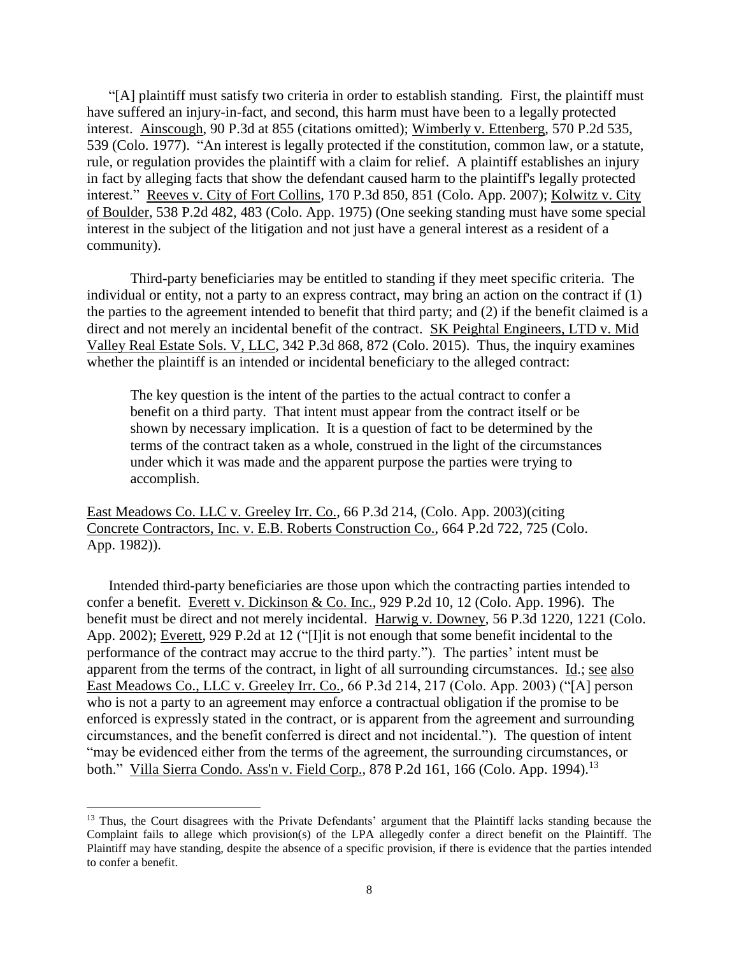"[A] plaintiff must satisfy two criteria in order to establish standing. First, the plaintiff must have suffered an injury-in-fact, and second, this harm must have been to a legally protected interest. Ainscough, 90 P.3d at 855 (citations omitted); Wimberly v. Ettenberg, 570 P.2d 535, 539 (Colo. 1977). "An interest is legally protected if the constitution, common law, or a statute, rule, or regulation provides the plaintiff with a claim for relief. A plaintiff establishes an injury in fact by alleging facts that show the defendant caused harm to the plaintiff's legally protected interest." Reeves v. City of Fort Collins, 170 P.3d 850, 851 (Colo. App. 2007); Kolwitz v. City of Boulder, 538 P.2d 482, 483 (Colo. App. 1975) (One seeking standing must have some special interest in the subject of the litigation and not just have a general interest as a resident of a community).

Third-party beneficiaries may be entitled to standing if they meet specific criteria. The individual or entity, not a party to an express contract, may bring an action on the contract if (1) the parties to the agreement intended to benefit that third party; and (2) if the benefit claimed is a direct and not merely an incidental benefit of the contract. SK Peightal Engineers, LTD v. Mid Valley Real Estate Sols. V, LLC, 342 P.3d 868, 872 (Colo. 2015). Thus, the inquiry examines whether the plaintiff is an intended or incidental beneficiary to the alleged contract:

The key question is the intent of the parties to the actual contract to confer a benefit on a third party. That intent must appear from the contract itself or be shown by necessary implication. It is a question of fact to be determined by the terms of the contract taken as a whole, construed in the light of the circumstances under which it was made and the apparent purpose the parties were trying to accomplish.

East Meadows Co. LLC v. Greeley Irr. Co., 66 P.3d 214, (Colo. App. 2003)(citing Concrete Contractors, Inc. v. E.B. Roberts Construction Co., 664 P.2d 722, 725 (Colo. App. 1982)).

Intended third-party beneficiaries are those upon which the contracting parties intended to confer a benefit. Everett v. Dickinson & Co. Inc., 929 P.2d 10, 12 (Colo. App. 1996). The benefit must be direct and not merely incidental. Harwig v. Downey, 56 P.3d 1220, 1221 (Colo. App. 2002); Everett, 929 P.2d at 12 ("[I]it is not enough that some benefit incidental to the performance of the contract may accrue to the third party."). The parties' intent must be apparent from the terms of the contract, in light of all surrounding circumstances. Id.; see also East Meadows Co., LLC v. Greeley Irr. Co.*,* 66 P.3d 214, 217 (Colo. App. 2003) ("[A] person who is not a party to an agreement may enforce a contractual obligation if the promise to be enforced is expressly stated in the contract, or is apparent from the agreement and surrounding circumstances, and the benefit conferred is direct and not incidental."). The question of intent "may be evidenced either from the terms of the agreement, the surrounding circumstances, or both." Villa Sierra Condo. Ass'n v. Field Corp., 878 P.2d 161, 166 (Colo. App. 1994).<sup>13</sup>

 $\overline{a}$ 

<sup>&</sup>lt;sup>13</sup> Thus, the Court disagrees with the Private Defendants' argument that the Plaintiff lacks standing because the Complaint fails to allege which provision(s) of the LPA allegedly confer a direct benefit on the Plaintiff. The Plaintiff may have standing, despite the absence of a specific provision, if there is evidence that the parties intended to confer a benefit.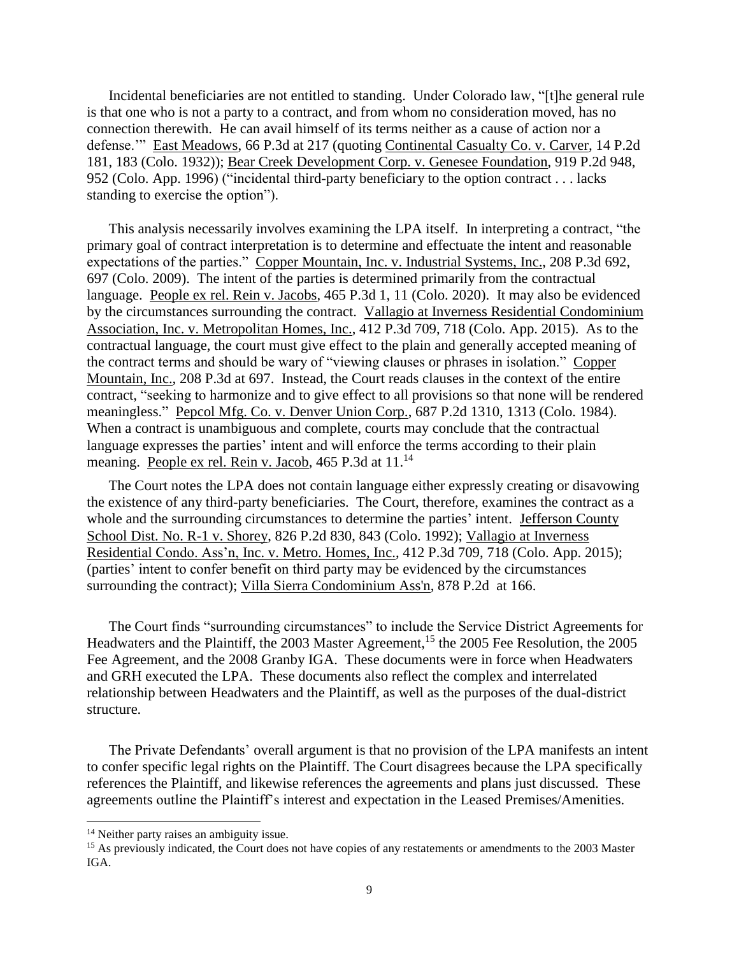Incidental beneficiaries are not entitled to standing. Under Colorado law, "[t]he general rule is that one who is not a party to a contract, and from whom no consideration moved, has no connection therewith. He can avail himself of its terms neither as a cause of action nor a defense.'" East Meadows, 66 P.3d at 217 (quoting Continental Casualty Co. v. Carver*,* 14 P.2d 181, 183 (Colo. 1932)); Bear Creek Development Corp. v. Genesee Foundation, 919 P.2d 948, 952 (Colo. App. 1996) ("incidental third-party beneficiary to the option contract . . . lacks standing to exercise the option").

This analysis necessarily involves examining the LPA itself. In interpreting a contract, "the primary goal of contract interpretation is to determine and effectuate the intent and reasonable expectations of the parties." Copper Mountain, Inc. v. Industrial Systems, Inc., 208 P.3d 692, 697 (Colo. 2009). The intent of the parties is determined primarily from the contractual language. People ex rel. Rein v. Jacobs*,* 465 P.3d 1, 11 (Colo. 2020). It may also be evidenced by the circumstances surrounding the contract. Vallagio at Inverness Residential Condominium Association, Inc. v. Metropolitan Homes, Inc., 412 P.3d 709, 718 (Colo. App. 2015). As to the contractual language, the court must give effect to the plain and generally accepted meaning of the contract terms and should be wary of "viewing clauses or phrases in isolation." Copper Mountain, Inc., 208 P.3d at 697. Instead, the Court reads clauses in the context of the entire contract, "seeking to harmonize and to give effect to all provisions so that none will be rendered meaningless." Pepcol Mfg. Co. v. Denver Union Corp., 687 P.2d 1310, 1313 (Colo. 1984). When a contract is unambiguous and complete, courts may conclude that the contractual language expresses the parties' intent and will enforce the terms according to their plain meaning. People ex rel. Rein v. Jacob, 465 P.3d at 11.<sup>14</sup>

The Court notes the LPA does not contain language either expressly creating or disavowing the existence of any third-party beneficiaries. The Court, therefore, examines the contract as a whole and the surrounding circumstances to determine the parties' intent. Jefferson County School Dist. No. R-1 v. Shorey, 826 P.2d 830, 843 (Colo. 1992); Vallagio at Inverness Residential Condo. Ass'n, Inc. v. Metro. Homes, Inc., 412 P.3d 709, 718 (Colo. App. 2015); (parties' intent to confer benefit on third party may be evidenced by the circumstances surrounding the contract); Villa Sierra Condominium Ass'n, 878 P.2d at 166.

The Court finds "surrounding circumstances" to include the Service District Agreements for Headwaters and the Plaintiff, the 2003 Master Agreement,<sup>15</sup> the 2005 Fee Resolution, the 2005 Fee Agreement, and the 2008 Granby IGA. These documents were in force when Headwaters and GRH executed the LPA. These documents also reflect the complex and interrelated relationship between Headwaters and the Plaintiff, as well as the purposes of the dual-district structure.

The Private Defendants' overall argument is that no provision of the LPA manifests an intent to confer specific legal rights on the Plaintiff. The Court disagrees because the LPA specifically references the Plaintiff, and likewise references the agreements and plans just discussed. These agreements outline the Plaintiff's interest and expectation in the Leased Premises/Amenities.

 $\overline{\phantom{a}}$ 

<sup>&</sup>lt;sup>14</sup> Neither party raises an ambiguity issue.

<sup>&</sup>lt;sup>15</sup> As previously indicated, the Court does not have copies of any restatements or amendments to the 2003 Master IGA.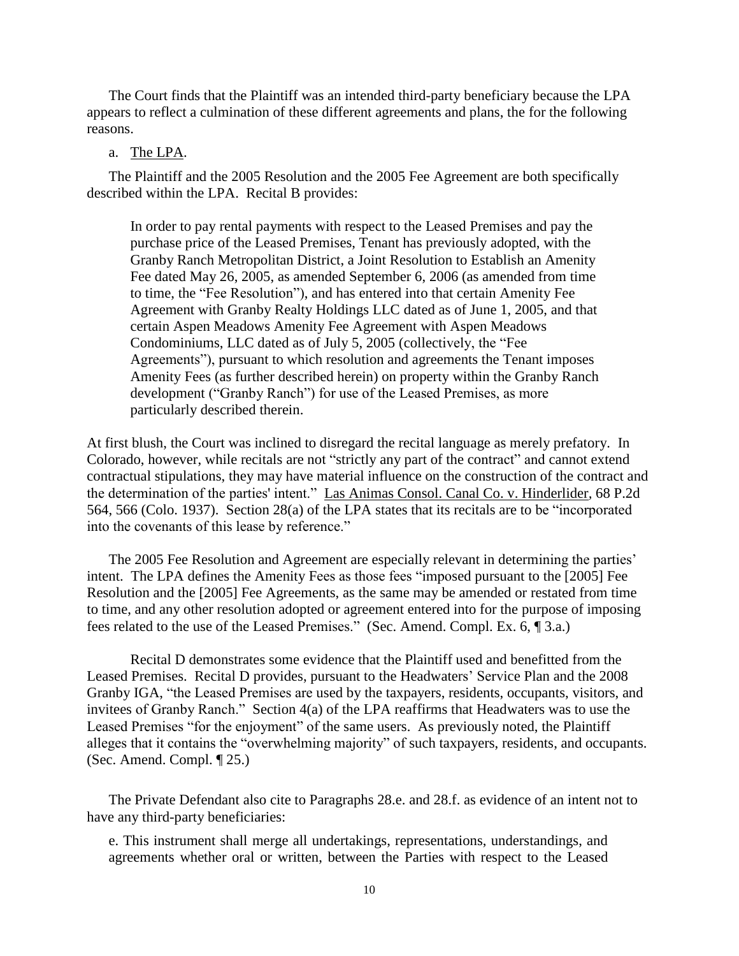The Court finds that the Plaintiff was an intended third-party beneficiary because the LPA appears to reflect a culmination of these different agreements and plans, the for the following reasons.

## a. The LPA.

The Plaintiff and the 2005 Resolution and the 2005 Fee Agreement are both specifically described within the LPA. Recital B provides:

In order to pay rental payments with respect to the Leased Premises and pay the purchase price of the Leased Premises, Tenant has previously adopted, with the Granby Ranch Metropolitan District, a Joint Resolution to Establish an Amenity Fee dated May 26, 2005, as amended September 6, 2006 (as amended from time to time, the "Fee Resolution"), and has entered into that certain Amenity Fee Agreement with Granby Realty Holdings LLC dated as of June 1, 2005, and that certain Aspen Meadows Amenity Fee Agreement with Aspen Meadows Condominiums, LLC dated as of July 5, 2005 (collectively, the "Fee Agreements"), pursuant to which resolution and agreements the Tenant imposes Amenity Fees (as further described herein) on property within the Granby Ranch development ("Granby Ranch") for use of the Leased Premises, as more particularly described therein.

At first blush, the Court was inclined to disregard the recital language as merely prefatory. In Colorado, however, while recitals are not "strictly any part of the contract" and cannot extend contractual stipulations, they may have material influence on the construction of the contract and the determination of the parties' intent." Las Animas Consol. Canal Co. v. Hinderlider*,* 68 P.2d 564, 566 (Colo. 1937). Section 28(a) of the LPA states that its recitals are to be "incorporated into the covenants of this lease by reference."

The 2005 Fee Resolution and Agreement are especially relevant in determining the parties' intent. The LPA defines the Amenity Fees as those fees "imposed pursuant to the [2005] Fee Resolution and the [2005] Fee Agreements, as the same may be amended or restated from time to time, and any other resolution adopted or agreement entered into for the purpose of imposing fees related to the use of the Leased Premises." (Sec. Amend. Compl. Ex. 6, ¶ 3.a.)

Recital D demonstrates some evidence that the Plaintiff used and benefitted from the Leased Premises. Recital D provides, pursuant to the Headwaters' Service Plan and the 2008 Granby IGA, "the Leased Premises are used by the taxpayers, residents, occupants, visitors, and invitees of Granby Ranch." Section 4(a) of the LPA reaffirms that Headwaters was to use the Leased Premises "for the enjoyment" of the same users. As previously noted, the Plaintiff alleges that it contains the "overwhelming majority" of such taxpayers, residents, and occupants. (Sec. Amend. Compl. ¶ 25.)

The Private Defendant also cite to Paragraphs 28.e. and 28.f. as evidence of an intent not to have any third-party beneficiaries:

e. This instrument shall merge all undertakings, representations, understandings, and agreements whether oral or written, between the Parties with respect to the Leased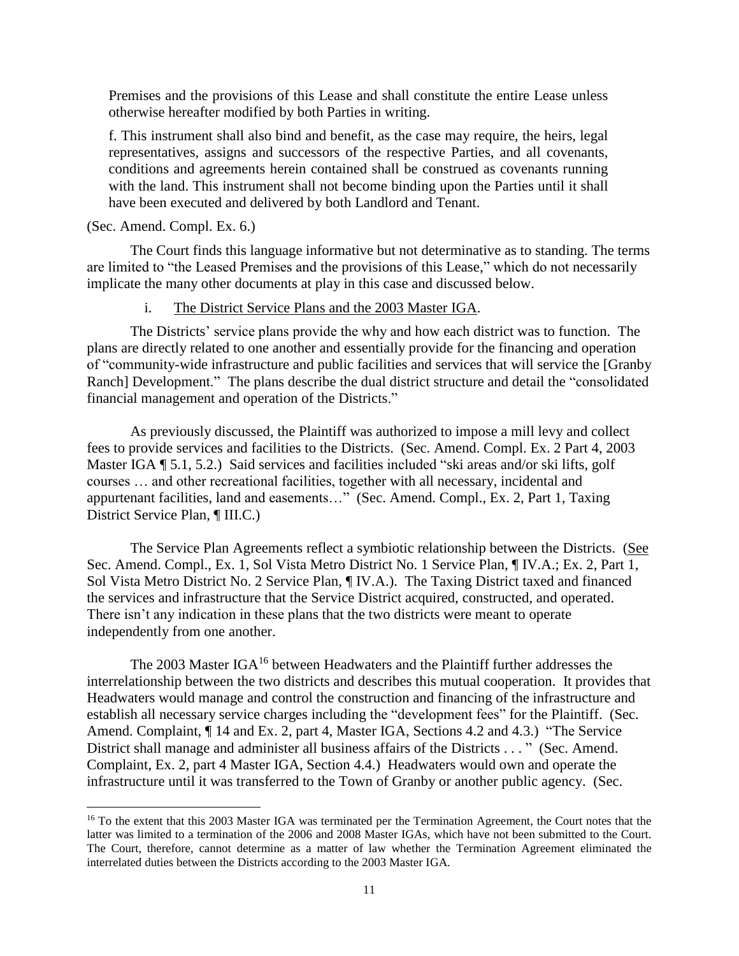Premises and the provisions of this Lease and shall constitute the entire Lease unless otherwise hereafter modified by both Parties in writing.

f. This instrument shall also bind and benefit, as the case may require, the heirs, legal representatives, assigns and successors of the respective Parties, and all covenants, conditions and agreements herein contained shall be construed as covenants running with the land. This instrument shall not become binding upon the Parties until it shall have been executed and delivered by both Landlord and Tenant.

(Sec. Amend. Compl. Ex. 6.)

 $\overline{a}$ 

The Court finds this language informative but not determinative as to standing. The terms are limited to "the Leased Premises and the provisions of this Lease," which do not necessarily implicate the many other documents at play in this case and discussed below.

## i. The District Service Plans and the 2003 Master IGA.

The Districts' service plans provide the why and how each district was to function. The plans are directly related to one another and essentially provide for the financing and operation of "community-wide infrastructure and public facilities and services that will service the [Granby Ranch] Development." The plans describe the dual district structure and detail the "consolidated financial management and operation of the Districts."

As previously discussed, the Plaintiff was authorized to impose a mill levy and collect fees to provide services and facilities to the Districts. (Sec. Amend. Compl. Ex. 2 Part 4, 2003 Master IGA  $\P$  5.1, 5.2.) Said services and facilities included "ski areas and/or ski lifts, golf courses … and other recreational facilities, together with all necessary, incidental and appurtenant facilities, land and easements…" (Sec. Amend. Compl., Ex. 2, Part 1, Taxing District Service Plan, ¶ III.C.)

The Service Plan Agreements reflect a symbiotic relationship between the Districts. (See Sec. Amend. Compl., Ex. 1, Sol Vista Metro District No. 1 Service Plan, ¶ IV.A.; Ex. 2, Part 1, Sol Vista Metro District No. 2 Service Plan, ¶ IV.A.). The Taxing District taxed and financed the services and infrastructure that the Service District acquired, constructed, and operated. There isn't any indication in these plans that the two districts were meant to operate independently from one another.

The 2003 Master IGA<sup>16</sup> between Headwaters and the Plaintiff further addresses the interrelationship between the two districts and describes this mutual cooperation. It provides that Headwaters would manage and control the construction and financing of the infrastructure and establish all necessary service charges including the "development fees" for the Plaintiff. (Sec. Amend. Complaint, ¶ 14 and Ex. 2, part 4, Master IGA, Sections 4.2 and 4.3.) "The Service District shall manage and administer all business affairs of the Districts . . . " (Sec. Amend. Complaint, Ex. 2, part 4 Master IGA, Section 4.4.) Headwaters would own and operate the infrastructure until it was transferred to the Town of Granby or another public agency. (Sec.

<sup>&</sup>lt;sup>16</sup> To the extent that this 2003 Master IGA was terminated per the Termination Agreement, the Court notes that the latter was limited to a termination of the 2006 and 2008 Master IGAs, which have not been submitted to the Court. The Court, therefore, cannot determine as a matter of law whether the Termination Agreement eliminated the interrelated duties between the Districts according to the 2003 Master IGA.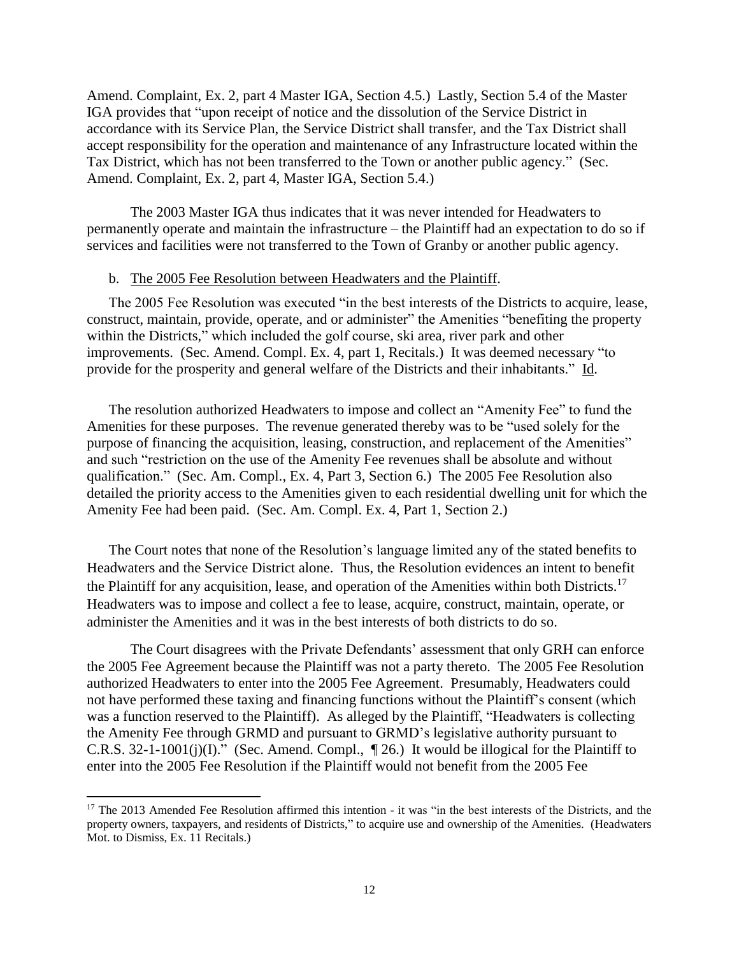Amend. Complaint, Ex. 2, part 4 Master IGA, Section 4.5.) Lastly, Section 5.4 of the Master IGA provides that "upon receipt of notice and the dissolution of the Service District in accordance with its Service Plan, the Service District shall transfer, and the Tax District shall accept responsibility for the operation and maintenance of any Infrastructure located within the Tax District, which has not been transferred to the Town or another public agency." (Sec. Amend. Complaint, Ex. 2, part 4, Master IGA, Section 5.4.)

The 2003 Master IGA thus indicates that it was never intended for Headwaters to permanently operate and maintain the infrastructure – the Plaintiff had an expectation to do so if services and facilities were not transferred to the Town of Granby or another public agency.

## b. The 2005 Fee Resolution between Headwaters and the Plaintiff.

The 2005 Fee Resolution was executed "in the best interests of the Districts to acquire, lease, construct, maintain, provide, operate, and or administer" the Amenities "benefiting the property within the Districts," which included the golf course, ski area, river park and other improvements. (Sec. Amend. Compl. Ex. 4, part 1, Recitals.) It was deemed necessary "to provide for the prosperity and general welfare of the Districts and their inhabitants." Id.

The resolution authorized Headwaters to impose and collect an "Amenity Fee" to fund the Amenities for these purposes. The revenue generated thereby was to be "used solely for the purpose of financing the acquisition, leasing, construction, and replacement of the Amenities" and such "restriction on the use of the Amenity Fee revenues shall be absolute and without qualification." (Sec. Am. Compl., Ex. 4, Part 3, Section 6.) The 2005 Fee Resolution also detailed the priority access to the Amenities given to each residential dwelling unit for which the Amenity Fee had been paid. (Sec. Am. Compl. Ex. 4, Part 1, Section 2.)

The Court notes that none of the Resolution's language limited any of the stated benefits to Headwaters and the Service District alone. Thus, the Resolution evidences an intent to benefit the Plaintiff for any acquisition, lease, and operation of the Amenities within both Districts.<sup>17</sup> Headwaters was to impose and collect a fee to lease, acquire, construct, maintain, operate, or administer the Amenities and it was in the best interests of both districts to do so.

The Court disagrees with the Private Defendants' assessment that only GRH can enforce the 2005 Fee Agreement because the Plaintiff was not a party thereto. The 2005 Fee Resolution authorized Headwaters to enter into the 2005 Fee Agreement. Presumably, Headwaters could not have performed these taxing and financing functions without the Plaintiff's consent (which was a function reserved to the Plaintiff). As alleged by the Plaintiff, "Headwaters is collecting the Amenity Fee through GRMD and pursuant to GRMD's legislative authority pursuant to C.R.S. 32-1-1001(j)(I)." (Sec. Amend. Compl., ¶ 26.) It would be illogical for the Plaintiff to enter into the 2005 Fee Resolution if the Plaintiff would not benefit from the 2005 Fee

 $\overline{\phantom{a}}$ 

<sup>&</sup>lt;sup>17</sup> The 2013 Amended Fee Resolution affirmed this intention - it was "in the best interests of the Districts, and the property owners, taxpayers, and residents of Districts," to acquire use and ownership of the Amenities. (Headwaters Mot. to Dismiss, Ex. 11 Recitals.)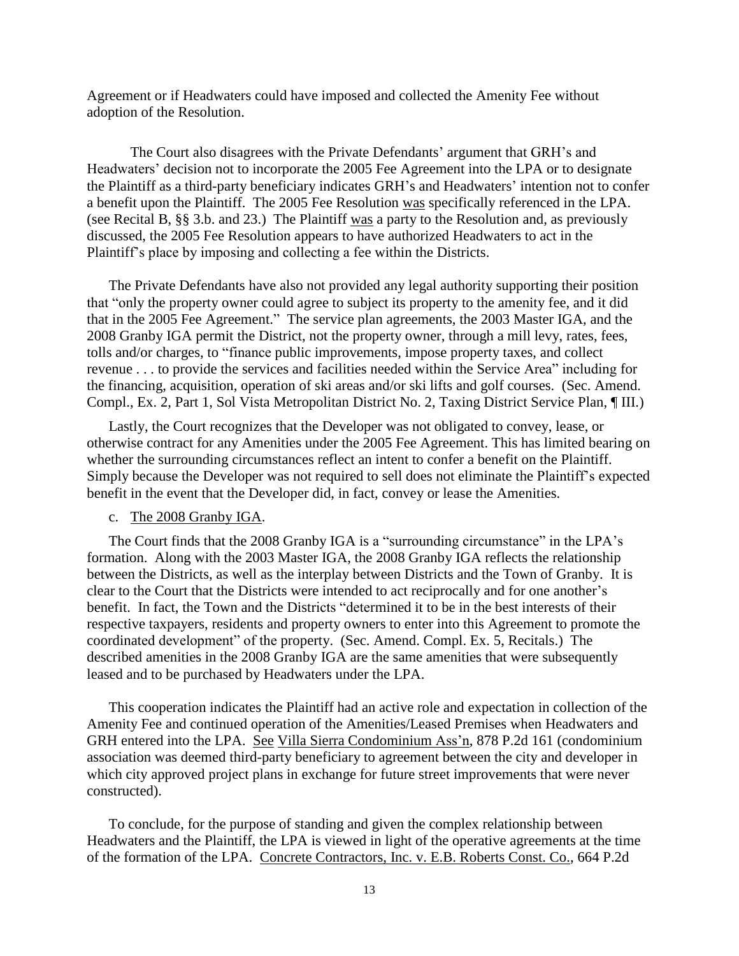Agreement or if Headwaters could have imposed and collected the Amenity Fee without adoption of the Resolution.

The Court also disagrees with the Private Defendants' argument that GRH's and Headwaters' decision not to incorporate the 2005 Fee Agreement into the LPA or to designate the Plaintiff as a third-party beneficiary indicates GRH's and Headwaters' intention not to confer a benefit upon the Plaintiff. The 2005 Fee Resolution was specifically referenced in the LPA. (see Recital B, §§ 3.b. and 23.) The Plaintiff was a party to the Resolution and, as previously discussed, the 2005 Fee Resolution appears to have authorized Headwaters to act in the Plaintiff's place by imposing and collecting a fee within the Districts.

The Private Defendants have also not provided any legal authority supporting their position that "only the property owner could agree to subject its property to the amenity fee, and it did that in the 2005 Fee Agreement." The service plan agreements, the 2003 Master IGA, and the 2008 Granby IGA permit the District, not the property owner, through a mill levy, rates, fees, tolls and/or charges, to "finance public improvements, impose property taxes, and collect revenue . . . to provide the services and facilities needed within the Service Area" including for the financing, acquisition, operation of ski areas and/or ski lifts and golf courses. (Sec. Amend. Compl., Ex. 2, Part 1, Sol Vista Metropolitan District No. 2, Taxing District Service Plan, ¶ III.)

Lastly, the Court recognizes that the Developer was not obligated to convey, lease, or otherwise contract for any Amenities under the 2005 Fee Agreement. This has limited bearing on whether the surrounding circumstances reflect an intent to confer a benefit on the Plaintiff. Simply because the Developer was not required to sell does not eliminate the Plaintiff's expected benefit in the event that the Developer did, in fact, convey or lease the Amenities.

## c. The 2008 Granby IGA.

The Court finds that the 2008 Granby IGA is a "surrounding circumstance" in the LPA's formation. Along with the 2003 Master IGA, the 2008 Granby IGA reflects the relationship between the Districts, as well as the interplay between Districts and the Town of Granby. It is clear to the Court that the Districts were intended to act reciprocally and for one another's benefit. In fact, the Town and the Districts "determined it to be in the best interests of their respective taxpayers, residents and property owners to enter into this Agreement to promote the coordinated development" of the property. (Sec. Amend. Compl. Ex. 5, Recitals.) The described amenities in the 2008 Granby IGA are the same amenities that were subsequently leased and to be purchased by Headwaters under the LPA.

This cooperation indicates the Plaintiff had an active role and expectation in collection of the Amenity Fee and continued operation of the Amenities/Leased Premises when Headwaters and GRH entered into the LPA. See Villa Sierra Condominium Ass'n, 878 P.2d 161 (condominium association was deemed third-party beneficiary to agreement between the city and developer in which city approved project plans in exchange for future street improvements that were never constructed).

To conclude, for the purpose of standing and given the complex relationship between Headwaters and the Plaintiff, the LPA is viewed in light of the operative agreements at the time of the formation of the LPA. Concrete Contractors, Inc. v. E.B. Roberts Const. Co., 664 P.2d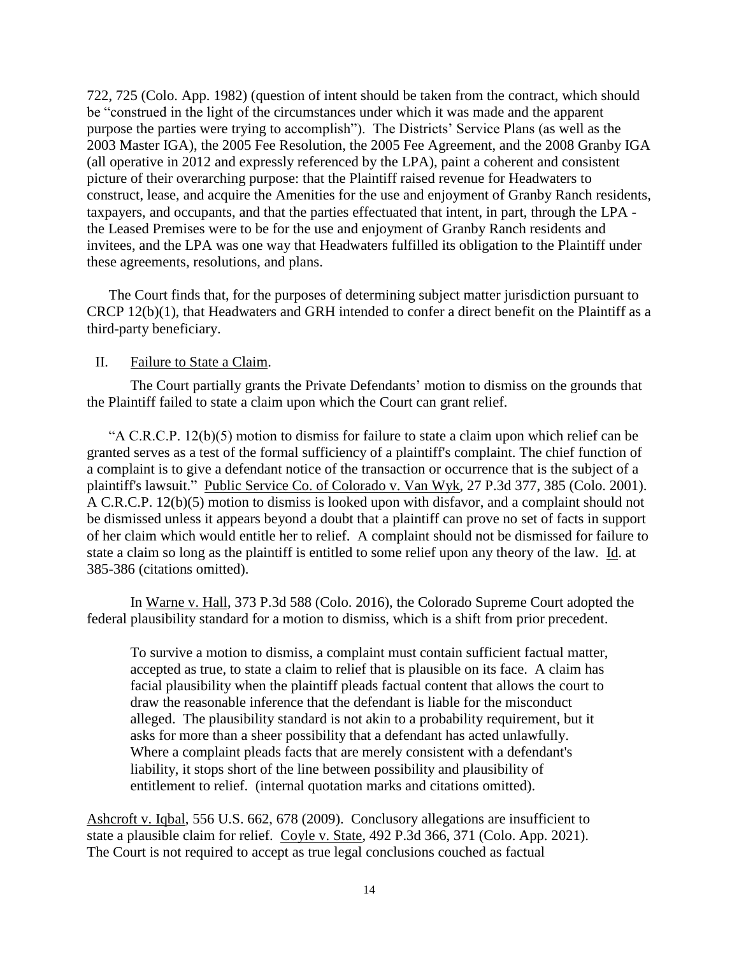722, 725 (Colo. App. 1982) (question of intent should be taken from the contract, which should be "construed in the light of the circumstances under which it was made and the apparent purpose the parties were trying to accomplish"). The Districts' Service Plans (as well as the 2003 Master IGA), the 2005 Fee Resolution, the 2005 Fee Agreement, and the 2008 Granby IGA (all operative in 2012 and expressly referenced by the LPA), paint a coherent and consistent picture of their overarching purpose: that the Plaintiff raised revenue for Headwaters to construct, lease, and acquire the Amenities for the use and enjoyment of Granby Ranch residents, taxpayers, and occupants, and that the parties effectuated that intent, in part, through the LPA the Leased Premises were to be for the use and enjoyment of Granby Ranch residents and invitees, and the LPA was one way that Headwaters fulfilled its obligation to the Plaintiff under these agreements, resolutions, and plans.

The Court finds that, for the purposes of determining subject matter jurisdiction pursuant to CRCP 12(b)(1), that Headwaters and GRH intended to confer a direct benefit on the Plaintiff as a third-party beneficiary.

## II. Failure to State a Claim.

The Court partially grants the Private Defendants' motion to dismiss on the grounds that the Plaintiff failed to state a claim upon which the Court can grant relief.

"A C.R.C.P. 12(b)(5) motion to dismiss for failure to state a claim upon which relief can be granted serves as a test of the formal sufficiency of a plaintiff's complaint. The chief function of a complaint is to give a defendant notice of the transaction or occurrence that is the subject of a plaintiff's lawsuit." Public Service Co. of Colorado v. Van Wyk, 27 P.3d 377, 385 (Colo. 2001). A C.R.C.P. 12(b)(5) motion to dismiss is looked upon with disfavor, and a complaint should not be dismissed unless it appears beyond a doubt that a plaintiff can prove no set of facts in support of her claim which would entitle her to relief. A complaint should not be dismissed for failure to state a claim so long as the plaintiff is entitled to some relief upon any theory of the law. Id. at 385-386 (citations omitted).

In Warne v. Hall, 373 P.3d 588 (Colo. 2016), the Colorado Supreme Court adopted the federal plausibility standard for a motion to dismiss, which is a shift from prior precedent.

To survive a motion to dismiss, a complaint must contain sufficient factual matter, accepted as true, to state a claim to relief that is plausible on its face. A claim has facial plausibility when the plaintiff pleads factual content that allows the court to draw the reasonable inference that the defendant is liable for the misconduct alleged. The plausibility standard is not akin to a probability requirement, but it asks for more than a sheer possibility that a defendant has acted unlawfully. Where a complaint pleads facts that are merely consistent with a defendant's liability, it stops short of the line between possibility and plausibility of entitlement to relief. (internal quotation marks and citations omitted).

Ashcroft v. Iqbal, 556 U.S. 662, 678 (2009). Conclusory allegations are insufficient to state a plausible claim for relief. Coyle v. State, 492 P.3d 366, 371 (Colo. App. 2021). The Court is not required to accept as true legal conclusions couched as factual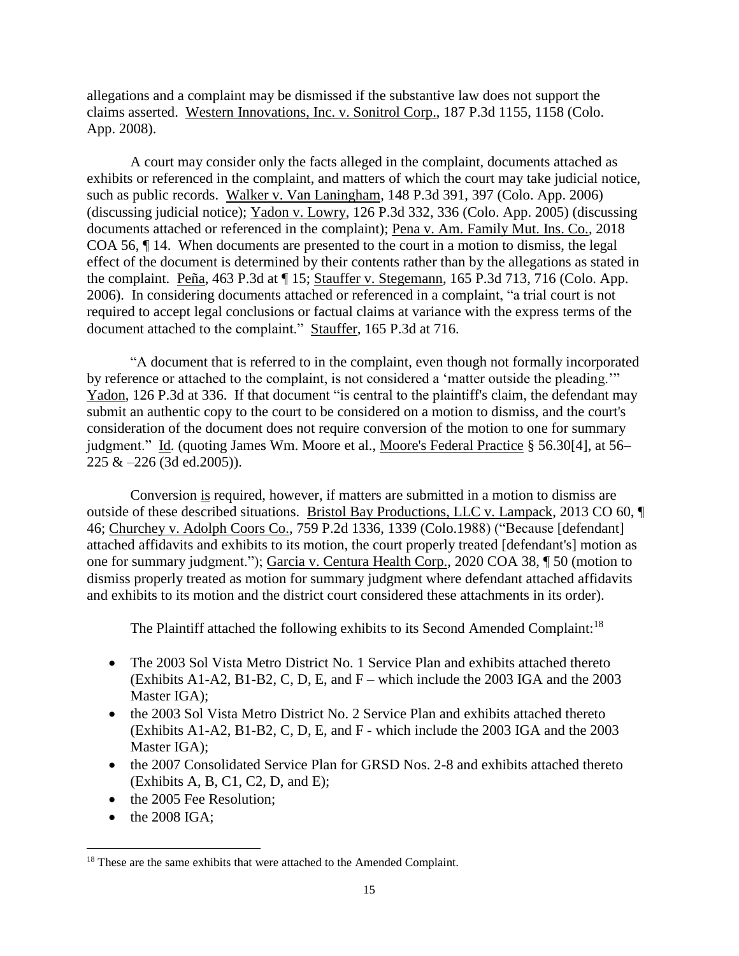allegations and a complaint may be dismissed if the substantive law does not support the claims asserted. Western Innovations, Inc. v. Sonitrol Corp., 187 P.3d 1155, 1158 (Colo. App. 2008).

A court may consider only the facts alleged in the complaint, documents attached as exhibits or referenced in the complaint, and matters of which the court may take judicial notice, such as public records. Walker v. Van Laningham, 148 P.3d 391, 397 (Colo. App. 2006) (discussing judicial notice); Yadon v. Lowry, 126 P.3d 332, 336 (Colo. App. 2005) (discussing documents attached or referenced in the complaint); Pena v. Am. Family Mut. Ins. Co., 2018 COA 56, ¶ 14. When documents are presented to the court in a motion to dismiss, the legal effect of the document is determined by their contents rather than by the allegations as stated in the complaint. Peña, 463 P.3d at  $\P$  15; Stauffer v. Stegemann, 165 P.3d 713, 716 (Colo. App. 2006). In considering documents attached or referenced in a complaint, "a trial court is not required to accept legal conclusions or factual claims at variance with the express terms of the document attached to the complaint." Stauffer, 165 P.3d at 716.

"A document that is referred to in the complaint, even though not formally incorporated by reference or attached to the complaint, is not considered a 'matter outside the pleading.'" Yadon, 126 P.3d at 336. If that document "is central to the plaintiff's claim, the defendant may submit an authentic copy to the court to be considered on a motion to dismiss, and the court's consideration of the document does not require conversion of the motion to one for summary judgment." Id. (quoting James Wm. Moore et al., Moore's Federal Practice § 56.30[4], at 56–  $225 \& -226 (3d \text{ ed.}2005)).$ 

Conversion is required, however, if matters are submitted in a motion to dismiss are outside of these described situations. Bristol Bay Productions, LLC v. Lampack, 2013 CO 60, ¶ 46; Churchey v. Adolph Coors Co.*,* 759 P.2d 1336, 1339 (Colo.1988) ("Because [defendant] attached affidavits and exhibits to its motion, the court properly treated [defendant's] motion as one for summary judgment."); Garcia v. Centura Health Corp., 2020 COA 38, ¶ 50 (motion to dismiss properly treated as motion for summary judgment where defendant attached affidavits and exhibits to its motion and the district court considered these attachments in its order).

The Plaintiff attached the following exhibits to its Second Amended Complaint:<sup>18</sup>

- The 2003 Sol Vista Metro District No. 1 Service Plan and exhibits attached thereto (Exhibits  $A1-A2$ ,  $B1-B2$ , C, D, E, and  $F$  – which include the 2003 IGA and the 2003 Master IGA);
- the 2003 Sol Vista Metro District No. 2 Service Plan and exhibits attached thereto (Exhibits A1-A2, B1-B2, C, D, E, and F - which include the 2003 IGA and the 2003 Master IGA);
- the 2007 Consolidated Service Plan for GRSD Nos. 2-8 and exhibits attached thereto  $(Exhibits A, B, C1, C2, D, and E);$
- the 2005 Fee Resolution:
- $\bullet$  the 2008 IGA;

 $\overline{\phantom{a}}$ 

<sup>&</sup>lt;sup>18</sup> These are the same exhibits that were attached to the Amended Complaint.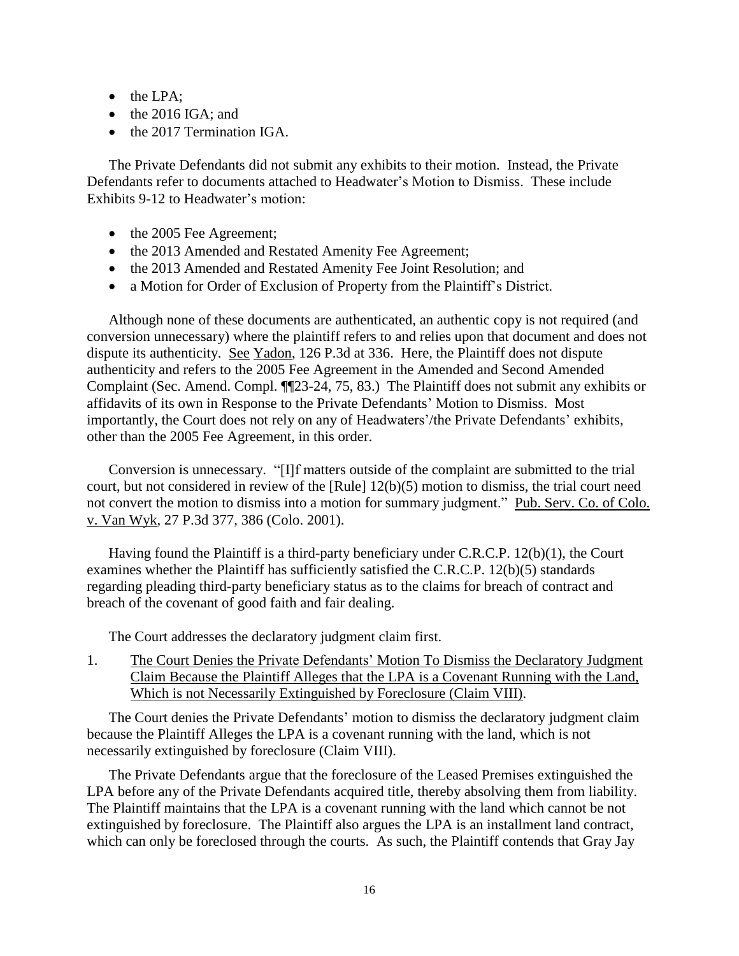- $\bullet$  the LPA;
- $\bullet$  the 2016 IGA; and
- the 2017 Termination IGA.

The Private Defendants did not submit any exhibits to their motion. Instead, the Private Defendants refer to documents attached to Headwater's Motion to Dismiss. These include Exhibits 9-12 to Headwater's motion:

- the 2005 Fee Agreement;
- the 2013 Amended and Restated Amenity Fee Agreement;
- the 2013 Amended and Restated Amenity Fee Joint Resolution; and
- a Motion for Order of Exclusion of Property from the Plaintiff's District.

Although none of these documents are authenticated, an authentic copy is not required (and conversion unnecessary) where the plaintiff refers to and relies upon that document and does not dispute its authenticity. See Yadon, 126 P.3d at 336. Here, the Plaintiff does not dispute authenticity and refers to the 2005 Fee Agreement in the Amended and Second Amended Complaint (Sec. Amend. Compl. ¶¶23-24, 75, 83.) The Plaintiff does not submit any exhibits or affidavits of its own in Response to the Private Defendants' Motion to Dismiss. Most importantly, the Court does not rely on any of Headwaters'/the Private Defendants' exhibits, other than the 2005 Fee Agreement, in this order.

Conversion is unnecessary. "[I]f matters outside of the complaint are submitted to the trial court, but not considered in review of the [Rule] 12(b)(5) motion to dismiss, the trial court need not convert the motion to dismiss into a motion for summary judgment." Pub. Serv. Co. of Colo. v. Van Wyk, 27 P.3d 377, 386 (Colo. 2001).

Having found the Plaintiff is a third-party beneficiary under C.R.C.P. 12(b)(1), the Court examines whether the Plaintiff has sufficiently satisfied the C.R.C.P. 12(b)(5) standards regarding pleading third-party beneficiary status as to the claims for breach of contract and breach of the covenant of good faith and fair dealing.

The Court addresses the declaratory judgment claim first.

1. The Court Denies the Private Defendants' Motion To Dismiss the Declaratory Judgment Claim Because the Plaintiff Alleges that the LPA is a Covenant Running with the Land, Which is not Necessarily Extinguished by Foreclosure (Claim VIII).

The Court denies the Private Defendants' motion to dismiss the declaratory judgment claim because the Plaintiff Alleges the LPA is a covenant running with the land, which is not necessarily extinguished by foreclosure (Claim VIII).

The Private Defendants argue that the foreclosure of the Leased Premises extinguished the LPA before any of the Private Defendants acquired title, thereby absolving them from liability. The Plaintiff maintains that the LPA is a covenant running with the land which cannot be not extinguished by foreclosure. The Plaintiff also argues the LPA is an installment land contract, which can only be foreclosed through the courts. As such, the Plaintiff contends that Gray Jay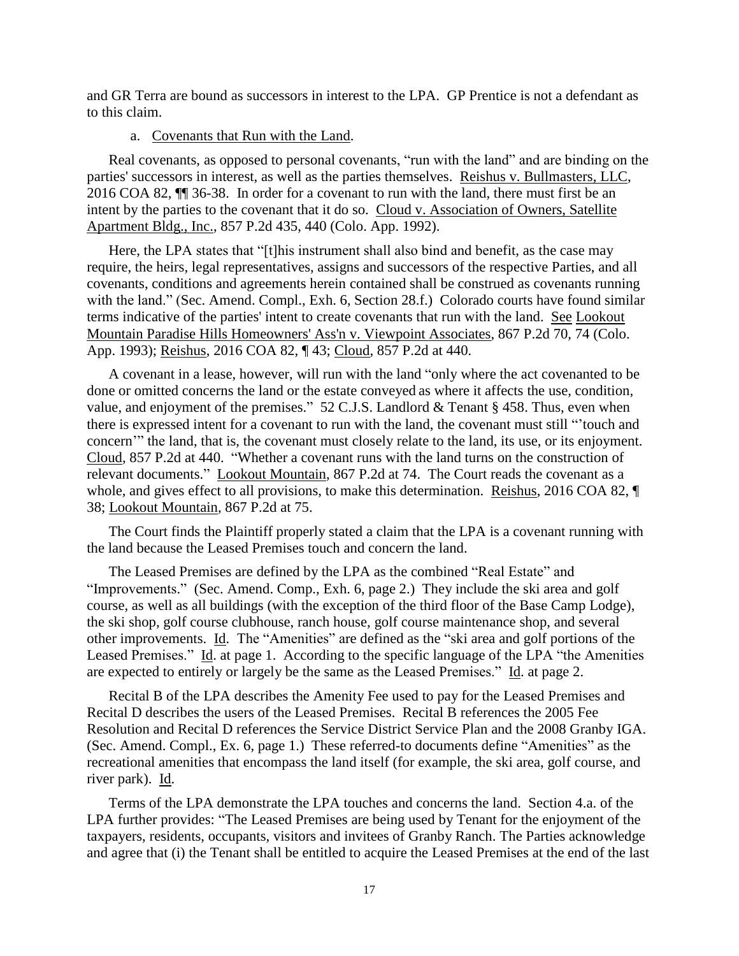and GR Terra are bound as successors in interest to the LPA. GP Prentice is not a defendant as to this claim.

## a. Covenants that Run with the Land.

Real covenants, as opposed to personal covenants, "run with the land" and are binding on the parties' successors in interest, as well as the parties themselves. Reishus v. Bullmasters, LLC, 2016 COA 82, ¶¶ 36-38. In order for a covenant to run with the land, there must first be an intent by the parties to the covenant that it do so. Cloud v. Association of Owners, Satellite Apartment Bldg., Inc., 857 P.2d 435, 440 (Colo. App. 1992).

Here, the LPA states that "[t]his instrument shall also bind and benefit, as the case may require, the heirs, legal representatives, assigns and successors of the respective Parties, and all covenants, conditions and agreements herein contained shall be construed as covenants running with the land." (Sec. Amend. Compl., Exh. 6, Section 28.f.) Colorado courts have found similar terms indicative of the parties' intent to create covenants that run with the land. See Lookout Mountain Paradise Hills Homeowners' Ass'n v. Viewpoint Associates, 867 P.2d 70, 74 (Colo. App. 1993); Reishus, 2016 COA 82, ¶ 43; Cloud, 857 P.2d at 440.

A covenant in a lease, however, will run with the land "only where the act covenanted to be done or omitted concerns the land or the estate conveyed as where it affects the use, condition, value, and enjoyment of the premises." 52 C.J.S. Landlord & Tenant § 458. Thus, even when there is expressed intent for a covenant to run with the land, the covenant must still "'touch and concern'" the land, that is, the covenant must closely relate to the land, its use, or its enjoyment. Cloud, 857 P.2d at 440. "Whether a covenant runs with the land turns on the construction of relevant documents." Lookout Mountain, 867 P.2d at 74. The Court reads the covenant as a whole, and gives effect to all provisions, to make this determination. Reishus, 2016 COA 82,  $\P$ 38; Lookout Mountain*,* 867 P.2d at 75.

The Court finds the Plaintiff properly stated a claim that the LPA is a covenant running with the land because the Leased Premises touch and concern the land.

The Leased Premises are defined by the LPA as the combined "Real Estate" and "Improvements." (Sec. Amend. Comp., Exh. 6, page 2.) They include the ski area and golf course, as well as all buildings (with the exception of the third floor of the Base Camp Lodge), the ski shop, golf course clubhouse, ranch house, golf course maintenance shop, and several other improvements. Id. The "Amenities" are defined as the "ski area and golf portions of the Leased Premises." Id. at page 1. According to the specific language of the LPA "the Amenities are expected to entirely or largely be the same as the Leased Premises." Id. at page 2.

Recital B of the LPA describes the Amenity Fee used to pay for the Leased Premises and Recital D describes the users of the Leased Premises. Recital B references the 2005 Fee Resolution and Recital D references the Service District Service Plan and the 2008 Granby IGA. (Sec. Amend. Compl., Ex. 6, page 1.) These referred-to documents define "Amenities" as the recreational amenities that encompass the land itself (for example, the ski area, golf course, and river park). Id.

Terms of the LPA demonstrate the LPA touches and concerns the land. Section 4.a. of the LPA further provides: "The Leased Premises are being used by Tenant for the enjoyment of the taxpayers, residents, occupants, visitors and invitees of Granby Ranch. The Parties acknowledge and agree that (i) the Tenant shall be entitled to acquire the Leased Premises at the end of the last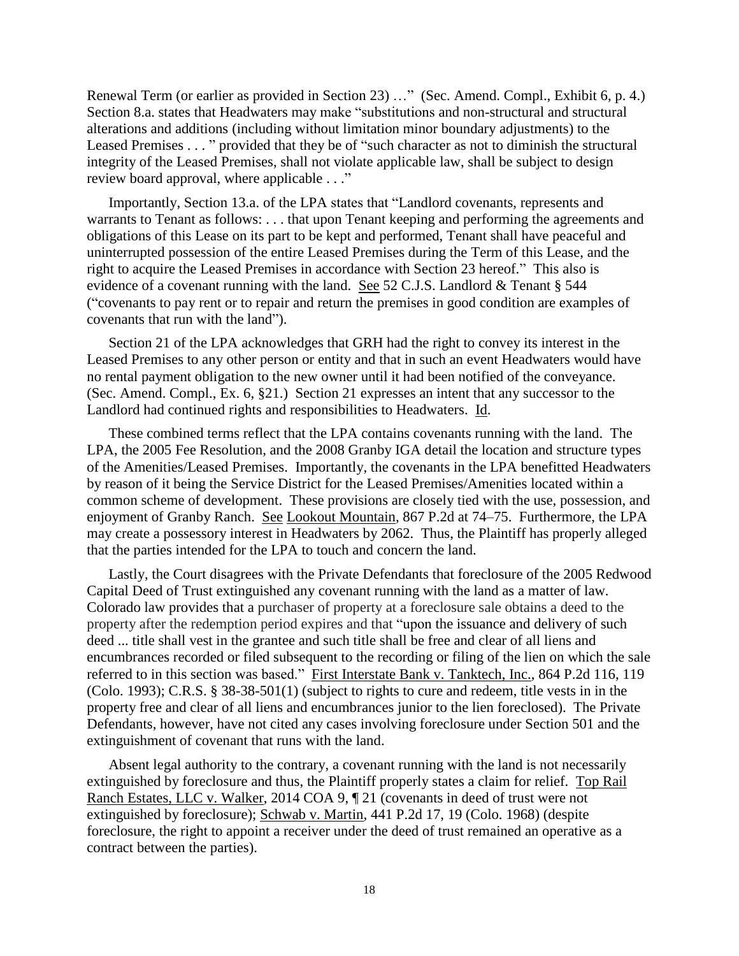Renewal Term (or earlier as provided in Section 23) …" (Sec. Amend. Compl., Exhibit 6, p. 4.) Section 8.a. states that Headwaters may make "substitutions and non-structural and structural alterations and additions (including without limitation minor boundary adjustments) to the Leased Premises . . . " provided that they be of "such character as not to diminish the structural integrity of the Leased Premises, shall not violate applicable law, shall be subject to design review board approval, where applicable . . ."

Importantly, Section 13.a. of the LPA states that "Landlord covenants, represents and warrants to Tenant as follows: . . . that upon Tenant keeping and performing the agreements and obligations of this Lease on its part to be kept and performed, Tenant shall have peaceful and uninterrupted possession of the entire Leased Premises during the Term of this Lease, and the right to acquire the Leased Premises in accordance with Section 23 hereof." This also is evidence of a covenant running with the land. See 52 C.J.S. Landlord & Tenant § 544 ("covenants to pay rent or to repair and return the premises in good condition are examples of covenants that run with the land").

Section 21 of the LPA acknowledges that GRH had the right to convey its interest in the Leased Premises to any other person or entity and that in such an event Headwaters would have no rental payment obligation to the new owner until it had been notified of the conveyance. (Sec. Amend. Compl., Ex. 6, §21.) Section 21 expresses an intent that any successor to the Landlord had continued rights and responsibilities to Headwaters. Id.

These combined terms reflect that the LPA contains covenants running with the land. The LPA, the 2005 Fee Resolution, and the 2008 Granby IGA detail the location and structure types of the Amenities/Leased Premises. Importantly, the covenants in the LPA benefitted Headwaters by reason of it being the Service District for the Leased Premises/Amenities located within a common scheme of development. These provisions are closely tied with the use, possession, and enjoyment of Granby Ranch. See Lookout Mountain*,* 867 P.2d at 74–75. Furthermore, the LPA may create a possessory interest in Headwaters by 2062. Thus, the Plaintiff has properly alleged that the parties intended for the LPA to touch and concern the land.

Lastly, the Court disagrees with the Private Defendants that foreclosure of the 2005 Redwood Capital Deed of Trust extinguished any covenant running with the land as a matter of law. Colorado law provides that a purchaser of property at a foreclosure sale obtains a deed to the property after the redemption period expires and that "upon the issuance and delivery of such deed ... title shall vest in the grantee and such title shall be free and clear of all liens and encumbrances recorded or filed subsequent to the recording or filing of the lien on which the sale referred to in this section was based." First Interstate Bank v. Tanktech, Inc., 864 P.2d 116, 119 (Colo. 1993); C.R.S. § 38-38-501(1) (subject to rights to cure and redeem, title vests in in the property free and clear of all liens and encumbrances junior to the lien foreclosed). The Private Defendants, however, have not cited any cases involving foreclosure under Section 501 and the extinguishment of covenant that runs with the land.

Absent legal authority to the contrary, a covenant running with the land is not necessarily extinguished by foreclosure and thus, the Plaintiff properly states a claim for relief. Top Rail Ranch Estates, LLC v. Walker, 2014 COA 9, ¶ 21 (covenants in deed of trust were not extinguished by foreclosure); Schwab v. Martin*,* 441 P.2d 17, 19 (Colo. 1968) (despite foreclosure, the right to appoint a receiver under the deed of trust remained an operative as a contract between the parties).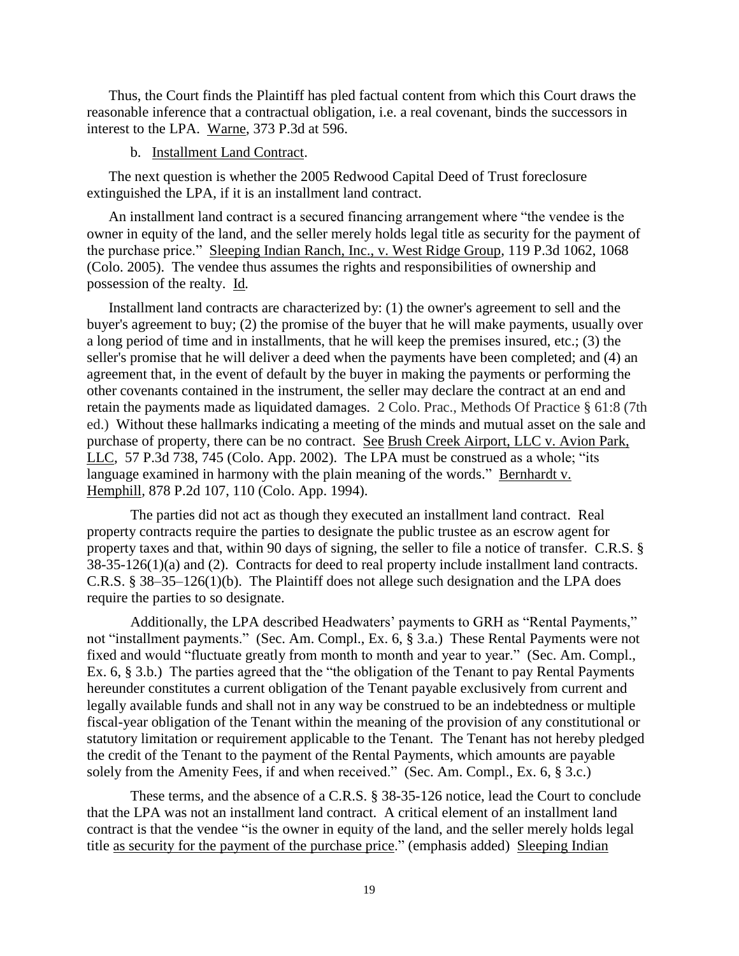Thus, the Court finds the Plaintiff has pled factual content from which this Court draws the reasonable inference that a contractual obligation, i.e. a real covenant, binds the successors in interest to the LPA. Warne, 373 P.3d at 596.

#### b. Installment Land Contract.

The next question is whether the 2005 Redwood Capital Deed of Trust foreclosure extinguished the LPA, if it is an installment land contract.

An installment land contract is a secured financing arrangement where "the vendee is the owner in equity of the land, and the seller merely holds legal title as security for the payment of the purchase price." Sleeping Indian Ranch, Inc., v. West Ridge Group*,* 119 P.3d 1062, 1068 (Colo. 2005). The vendee thus assumes the rights and responsibilities of ownership and possession of the realty. Id*.*

Installment land contracts are characterized by: (1) the owner's agreement to sell and the buyer's agreement to buy; (2) the promise of the buyer that he will make payments, usually over a long period of time and in installments, that he will keep the premises insured, etc.; (3) the seller's promise that he will deliver a deed when the payments have been completed; and (4) an agreement that, in the event of default by the buyer in making the payments or performing the other covenants contained in the instrument, the seller may declare the contract at an end and retain the payments made as liquidated damages. 2 Colo. Prac., Methods Of Practice § 61:8 (7th ed.) Without these hallmarks indicating a meeting of the minds and mutual asset on the sale and purchase of property, there can be no contract. See Brush Creek Airport, LLC v. Avion Park, LLC*,* 57 P.3d 738, 745 (Colo. App. 2002). The LPA must be construed as a whole; "its language examined in harmony with the plain meaning of the words." Bernhardt v. Hemphill*,* 878 P.2d 107, 110 (Colo. App. 1994).

The parties did not act as though they executed an installment land contract. Real property contracts require the parties to designate the public trustee as an escrow agent for property taxes and that, within 90 days of signing, the seller to file a notice of transfer. C.R.S. § 38-35-126(1)(a) and (2). Contracts for deed to real property include installment land contracts. C.R.S. § 38–35–126(1)(b). The Plaintiff does not allege such designation and the LPA does require the parties to so designate.

Additionally, the LPA described Headwaters' payments to GRH as "Rental Payments," not "installment payments." (Sec. Am. Compl., Ex. 6, § 3.a.) These Rental Payments were not fixed and would "fluctuate greatly from month to month and year to year." (Sec. Am. Compl., Ex. 6, § 3.b.) The parties agreed that the "the obligation of the Tenant to pay Rental Payments hereunder constitutes a current obligation of the Tenant payable exclusively from current and legally available funds and shall not in any way be construed to be an indebtedness or multiple fiscal-year obligation of the Tenant within the meaning of the provision of any constitutional or statutory limitation or requirement applicable to the Tenant. The Tenant has not hereby pledged the credit of the Tenant to the payment of the Rental Payments, which amounts are payable solely from the Amenity Fees, if and when received." (Sec. Am. Compl., Ex. 6, § 3.c.)

These terms, and the absence of a C.R.S. § 38-35-126 notice, lead the Court to conclude that the LPA was not an installment land contract. A critical element of an installment land contract is that the vendee "is the owner in equity of the land, and the seller merely holds legal title as security for the payment of the purchase price." (emphasis added) Sleeping Indian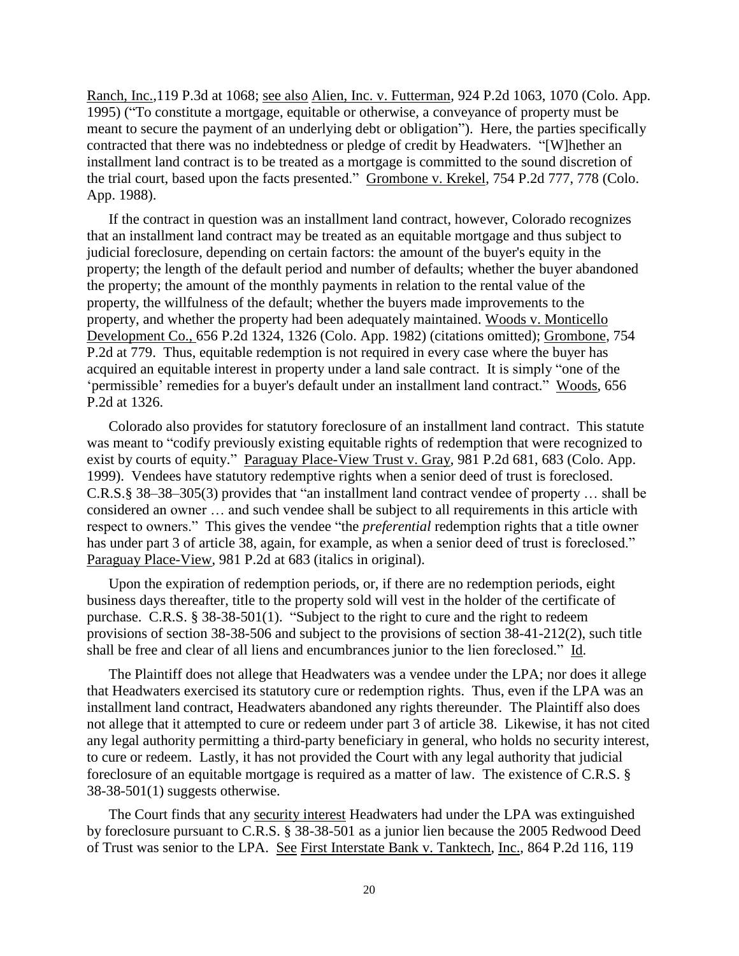Ranch, Inc.*,*119 P.3d at 1068; see also Alien, Inc. v. Futterman*,* 924 P.2d 1063, 1070 (Colo. App. 1995) ("To constitute a mortgage, equitable or otherwise, a conveyance of property must be meant to secure the payment of an underlying debt or obligation"). Here, the parties specifically contracted that there was no indebtedness or pledge of credit by Headwaters. "[W]hether an installment land contract is to be treated as a mortgage is committed to the sound discretion of the trial court, based upon the facts presented." Grombone v. Krekel, 754 P.2d 777, 778 (Colo. App. 1988).

If the contract in question was an installment land contract, however, Colorado recognizes that an installment land contract may be treated as an equitable mortgage and thus subject to judicial foreclosure, depending on certain factors: the amount of the buyer's equity in the property; the length of the default period and number of defaults; whether the buyer abandoned the property; the amount of the monthly payments in relation to the rental value of the property, the willfulness of the default; whether the buyers made improvements to the property, and whether the property had been adequately maintained. Woods v. Monticello Development Co., 656 P.2d 1324, 1326 (Colo. App. 1982) (citations omitted); Grombone, 754 P.2d at 779. Thus, equitable redemption is not required in every case where the buyer has acquired an equitable interest in property under a land sale contract. It is simply "one of the 'permissible' remedies for a buyer's default under an installment land contract." Woods, 656 P.2d at 1326.

Colorado also provides for statutory foreclosure of an installment land contract. This statute was meant to "codify previously existing equitable rights of redemption that were recognized to exist by courts of equity." Paraguay Place-View Trust v. Gray, 981 P.2d 681, 683 (Colo. App. 1999). Vendees have statutory redemptive rights when a senior deed of trust is foreclosed. C.R.S.§ 38–38–305(3) provides that "an installment land contract vendee of property … shall be considered an owner … and such vendee shall be subject to all requirements in this article with respect to owners." This gives the vendee "the *preferential* redemption rights that a title owner has under part 3 of article 38, again, for example, as when a senior deed of trust is foreclosed." Paraguay Place-View, 981 P.2d at 683 (italics in original).

Upon the expiration of redemption periods, or, if there are no redemption periods, eight business days thereafter, title to the property sold will vest in the holder of the certificate of purchase. C.R.S. § 38-38-501(1). "Subject to the right to cure and the right to redeem provisions of section 38-38-506 and subject to the provisions of section 38-41-212(2), such title shall be free and clear of all liens and encumbrances junior to the lien foreclosed." Id.

The Plaintiff does not allege that Headwaters was a vendee under the LPA; nor does it allege that Headwaters exercised its statutory cure or redemption rights. Thus, even if the LPA was an installment land contract, Headwaters abandoned any rights thereunder. The Plaintiff also does not allege that it attempted to cure or redeem under part 3 of article 38. Likewise, it has not cited any legal authority permitting a third-party beneficiary in general, who holds no security interest, to cure or redeem. Lastly, it has not provided the Court with any legal authority that judicial foreclosure of an equitable mortgage is required as a matter of law. The existence of C.R.S. § 38-38-501(1) suggests otherwise.

The Court finds that any security interest Headwaters had under the LPA was extinguished by foreclosure pursuant to C.R.S. § 38-38-501 as a junior lien because the 2005 Redwood Deed of Trust was senior to the LPA. See First Interstate Bank v. Tanktech, Inc., 864 P.2d 116, 119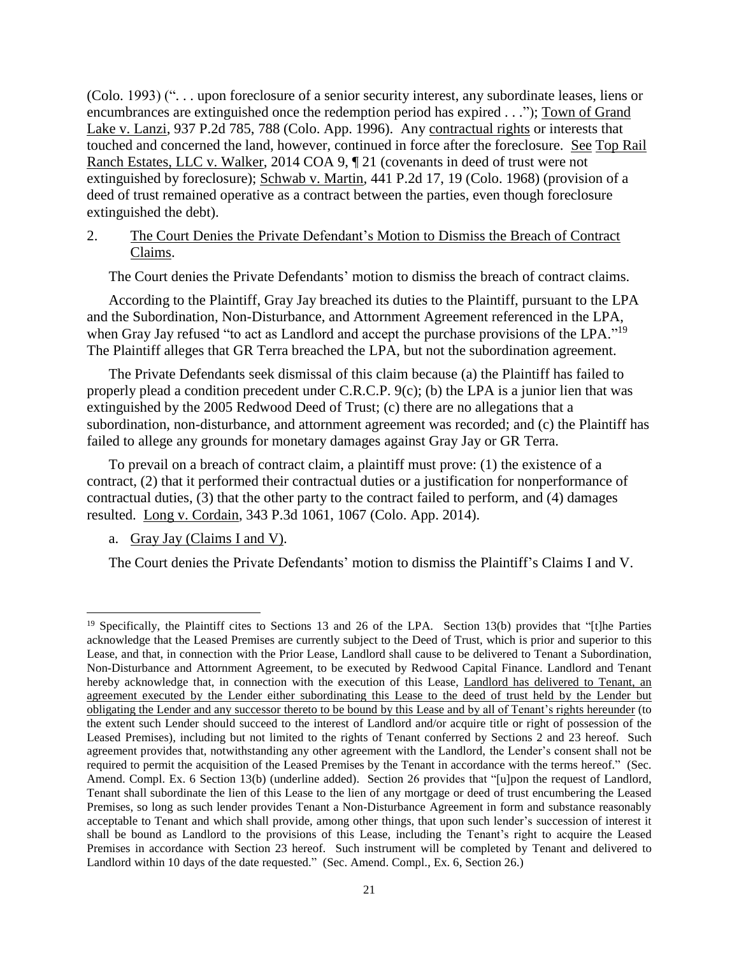(Colo. 1993) (". . . upon foreclosure of a senior security interest, any subordinate leases, liens or encumbrances are extinguished once the redemption period has expired . . ."); Town of Grand Lake v. Lanzi, 937 P.2d 785, 788 (Colo. App. 1996). Any contractual rights or interests that touched and concerned the land, however, continued in force after the foreclosure. See Top Rail Ranch Estates, LLC v. Walker, 2014 COA 9, ¶ 21 (covenants in deed of trust were not extinguished by foreclosure); Schwab v. Martin*,* 441 P.2d 17, 19 (Colo. 1968) (provision of a deed of trust remained operative as a contract between the parties, even though foreclosure extinguished the debt).

### 2. The Court Denies the Private Defendant's Motion to Dismiss the Breach of Contract Claims.

The Court denies the Private Defendants' motion to dismiss the breach of contract claims.

According to the Plaintiff, Gray Jay breached its duties to the Plaintiff, pursuant to the LPA and the Subordination, Non-Disturbance, and Attornment Agreement referenced in the LPA, when Gray Jay refused "to act as Landlord and accept the purchase provisions of the LPA."<sup>19</sup> The Plaintiff alleges that GR Terra breached the LPA, but not the subordination agreement.

The Private Defendants seek dismissal of this claim because (a) the Plaintiff has failed to properly plead a condition precedent under C.R.C.P. 9(c); (b) the LPA is a junior lien that was extinguished by the 2005 Redwood Deed of Trust; (c) there are no allegations that a subordination, non-disturbance, and attornment agreement was recorded; and (c) the Plaintiff has failed to allege any grounds for monetary damages against Gray Jay or GR Terra.

To prevail on a breach of contract claim, a plaintiff must prove: (1) the existence of a contract, (2) that it performed their contractual duties or a justification for nonperformance of contractual duties, (3) that the other party to the contract failed to perform, and (4) damages resulted. Long v. Cordain, 343 P.3d 1061, 1067 (Colo. App. 2014).

a. Gray Jay (Claims I and V).

 $\overline{\phantom{a}}$ 

The Court denies the Private Defendants' motion to dismiss the Plaintiff's Claims I and V.

<sup>&</sup>lt;sup>19</sup> Specifically, the Plaintiff cites to Sections 13 and 26 of the LPA. Section 13(b) provides that "[t]he Parties acknowledge that the Leased Premises are currently subject to the Deed of Trust, which is prior and superior to this Lease, and that, in connection with the Prior Lease, Landlord shall cause to be delivered to Tenant a Subordination, Non-Disturbance and Attornment Agreement, to be executed by Redwood Capital Finance. Landlord and Tenant hereby acknowledge that, in connection with the execution of this Lease, Landlord has delivered to Tenant, an agreement executed by the Lender either subordinating this Lease to the deed of trust held by the Lender but obligating the Lender and any successor thereto to be bound by this Lease and by all of Tenant's rights hereunder (to the extent such Lender should succeed to the interest of Landlord and/or acquire title or right of possession of the Leased Premises), including but not limited to the rights of Tenant conferred by Sections 2 and 23 hereof. Such agreement provides that, notwithstanding any other agreement with the Landlord, the Lender's consent shall not be required to permit the acquisition of the Leased Premises by the Tenant in accordance with the terms hereof." (Sec. Amend. Compl. Ex. 6 Section 13(b) (underline added). Section 26 provides that "[u]pon the request of Landlord, Tenant shall subordinate the lien of this Lease to the lien of any mortgage or deed of trust encumbering the Leased Premises, so long as such lender provides Tenant a Non-Disturbance Agreement in form and substance reasonably acceptable to Tenant and which shall provide, among other things, that upon such lender's succession of interest it shall be bound as Landlord to the provisions of this Lease, including the Tenant's right to acquire the Leased Premises in accordance with Section 23 hereof. Such instrument will be completed by Tenant and delivered to Landlord within 10 days of the date requested." (Sec. Amend. Compl., Ex. 6, Section 26.)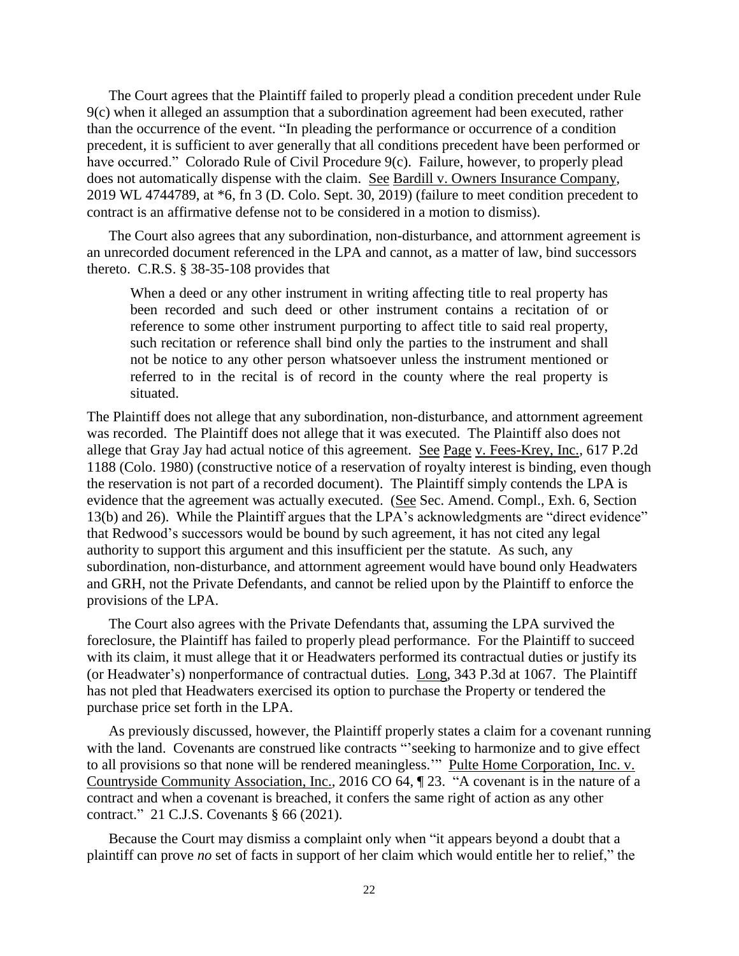The Court agrees that the Plaintiff failed to properly plead a condition precedent under Rule 9(c) when it alleged an assumption that a subordination agreement had been executed, rather than the occurrence of the event. "In pleading the performance or occurrence of a condition precedent, it is sufficient to aver generally that all conditions precedent have been performed or have occurred." Colorado Rule of Civil Procedure 9(c). Failure, however, to properly plead does not automatically dispense with the claim. See Bardill v. Owners Insurance Company, 2019 WL 4744789, at \*6, fn 3 (D. Colo. Sept. 30, 2019) (failure to meet condition precedent to contract is an affirmative defense not to be considered in a motion to dismiss).

The Court also agrees that any subordination, non-disturbance, and attornment agreement is an unrecorded document referenced in the LPA and cannot, as a matter of law, bind successors thereto. C.R.S. § 38-35-108 provides that

When a deed or any other instrument in writing affecting title to real property has been recorded and such deed or other instrument contains a recitation of or reference to some other instrument purporting to affect title to said real property, such recitation or reference shall bind only the parties to the instrument and shall not be notice to any other person whatsoever unless the instrument mentioned or referred to in the recital is of record in the county where the real property is situated.

The Plaintiff does not allege that any subordination, non-disturbance, and attornment agreement was recorded. The Plaintiff does not allege that it was executed. The Plaintiff also does not allege that Gray Jay had actual notice of this agreement. See Page v. Fees-Krey, Inc., 617 P.2d 1188 (Colo. 1980) (constructive notice of a reservation of royalty interest is binding, even though the reservation is not part of a recorded document). The Plaintiff simply contends the LPA is evidence that the agreement was actually executed. (See Sec. Amend. Compl., Exh. 6, Section 13(b) and 26). While the Plaintiff argues that the LPA's acknowledgments are "direct evidence" that Redwood's successors would be bound by such agreement, it has not cited any legal authority to support this argument and this insufficient per the statute. As such, any subordination, non-disturbance, and attornment agreement would have bound only Headwaters and GRH, not the Private Defendants, and cannot be relied upon by the Plaintiff to enforce the provisions of the LPA.

The Court also agrees with the Private Defendants that, assuming the LPA survived the foreclosure, the Plaintiff has failed to properly plead performance. For the Plaintiff to succeed with its claim, it must allege that it or Headwaters performed its contractual duties or justify its (or Headwater's) nonperformance of contractual duties. Long, 343 P.3d at 1067. The Plaintiff has not pled that Headwaters exercised its option to purchase the Property or tendered the purchase price set forth in the LPA.

As previously discussed, however, the Plaintiff properly states a claim for a covenant running with the land. Covenants are construed like contracts "seeking to harmonize and to give effect to all provisions so that none will be rendered meaningless.'" Pulte Home Corporation, Inc. v. Countryside Community Association, Inc., 2016 CO 64, ¶ 23. "A covenant is in the nature of a contract and when a covenant is breached, it confers the same right of action as any other contract." 21 C.J.S. Covenants § 66 (2021).

Because the Court may dismiss a complaint only when "it appears beyond a doubt that a plaintiff can prove *no* set of facts in support of her claim which would entitle her to relief," the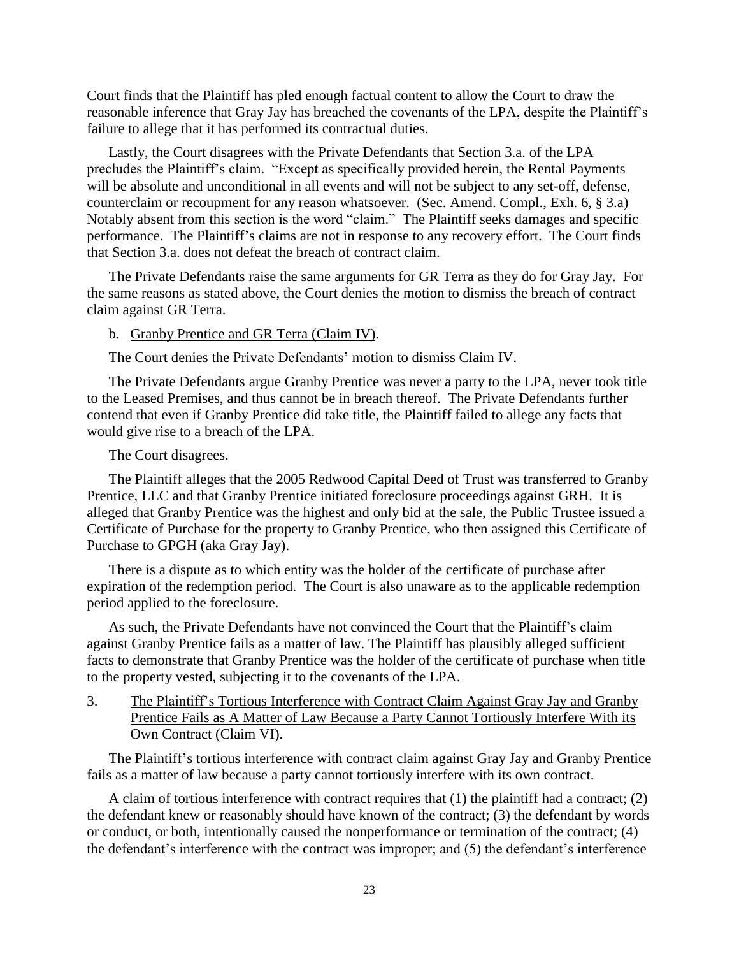Court finds that the Plaintiff has pled enough factual content to allow the Court to draw the reasonable inference that Gray Jay has breached the covenants of the LPA, despite the Plaintiff's failure to allege that it has performed its contractual duties.

Lastly, the Court disagrees with the Private Defendants that Section 3.a. of the LPA precludes the Plaintiff's claim. "Except as specifically provided herein, the Rental Payments will be absolute and unconditional in all events and will not be subject to any set-off, defense, counterclaim or recoupment for any reason whatsoever. (Sec. Amend. Compl., Exh. 6, § 3.a) Notably absent from this section is the word "claim." The Plaintiff seeks damages and specific performance. The Plaintiff's claims are not in response to any recovery effort. The Court finds that Section 3.a. does not defeat the breach of contract claim.

The Private Defendants raise the same arguments for GR Terra as they do for Gray Jay. For the same reasons as stated above, the Court denies the motion to dismiss the breach of contract claim against GR Terra.

b. Granby Prentice and GR Terra (Claim IV).

The Court denies the Private Defendants' motion to dismiss Claim IV.

The Private Defendants argue Granby Prentice was never a party to the LPA, never took title to the Leased Premises, and thus cannot be in breach thereof. The Private Defendants further contend that even if Granby Prentice did take title, the Plaintiff failed to allege any facts that would give rise to a breach of the LPA.

The Court disagrees.

The Plaintiff alleges that the 2005 Redwood Capital Deed of Trust was transferred to Granby Prentice, LLC and that Granby Prentice initiated foreclosure proceedings against GRH. It is alleged that Granby Prentice was the highest and only bid at the sale, the Public Trustee issued a Certificate of Purchase for the property to Granby Prentice, who then assigned this Certificate of Purchase to GPGH (aka Gray Jay).

There is a dispute as to which entity was the holder of the certificate of purchase after expiration of the redemption period. The Court is also unaware as to the applicable redemption period applied to the foreclosure.

As such, the Private Defendants have not convinced the Court that the Plaintiff's claim against Granby Prentice fails as a matter of law. The Plaintiff has plausibly alleged sufficient facts to demonstrate that Granby Prentice was the holder of the certificate of purchase when title to the property vested, subjecting it to the covenants of the LPA.

3. The Plaintiff's Tortious Interference with Contract Claim Against Gray Jay and Granby Prentice Fails as A Matter of Law Because a Party Cannot Tortiously Interfere With its Own Contract (Claim VI).

The Plaintiff's tortious interference with contract claim against Gray Jay and Granby Prentice fails as a matter of law because a party cannot tortiously interfere with its own contract.

A claim of tortious interference with contract requires that (1) the plaintiff had a contract; (2) the defendant knew or reasonably should have known of the contract; (3) the defendant by words or conduct, or both, intentionally caused the nonperformance or termination of the contract; (4) the defendant's interference with the contract was improper; and (5) the defendant's interference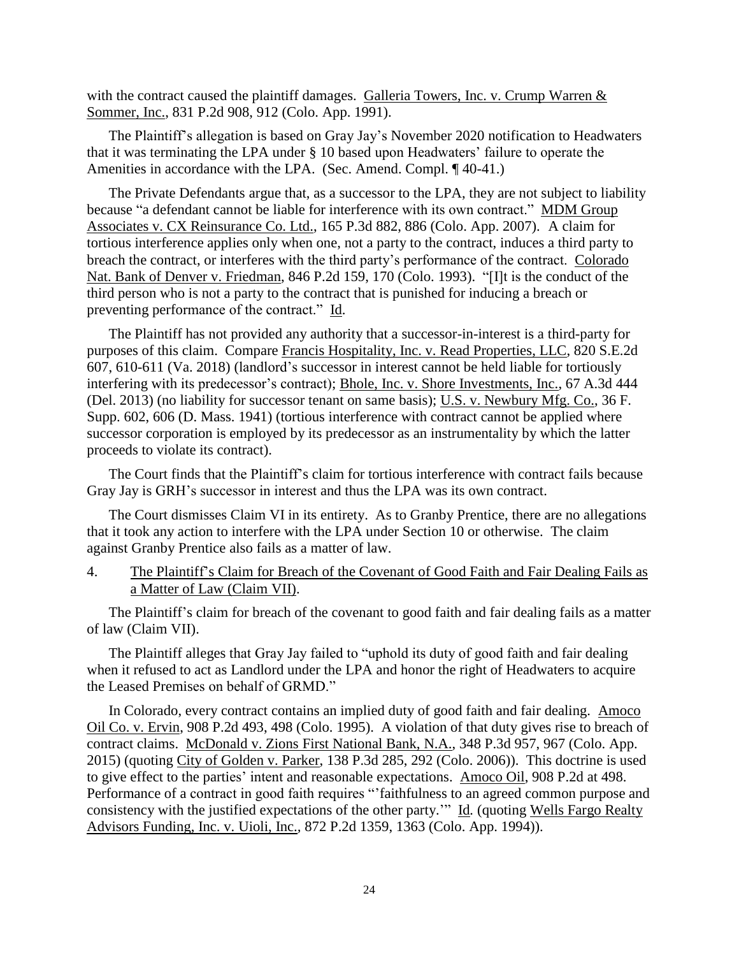with the contract caused the plaintiff damages. Galleria Towers, Inc. v. Crump Warren & Sommer, Inc., 831 P.2d 908, 912 (Colo. App. 1991).

The Plaintiff's allegation is based on Gray Jay's November 2020 notification to Headwaters that it was terminating the LPA under § 10 based upon Headwaters' failure to operate the Amenities in accordance with the LPA. (Sec. Amend. Compl. ¶ 40-41.)

The Private Defendants argue that, as a successor to the LPA, they are not subject to liability because "a defendant cannot be liable for interference with its own contract." MDM Group Associates v. CX Reinsurance Co. Ltd., 165 P.3d 882, 886 (Colo. App. 2007). A claim for tortious interference applies only when one, not a party to the contract, induces a third party to breach the contract, or interferes with the third party's performance of the contract. Colorado Nat. Bank of Denver v. Friedman, 846 P.2d 159, 170 (Colo. 1993). "[I]t is the conduct of the third person who is not a party to the contract that is punished for inducing a breach or preventing performance of the contract." Id.

The Plaintiff has not provided any authority that a successor-in-interest is a third-party for purposes of this claim. Compare Francis Hospitality, Inc. v. Read Properties, LLC, 820 S.E.2d 607, 610-611 (Va. 2018) (landlord's successor in interest cannot be held liable for tortiously interfering with its predecessor's contract); Bhole, Inc. v. Shore Investments, Inc., 67 A.3d 444 (Del. 2013) (no liability for successor tenant on same basis); U.S. v. Newbury Mfg. Co., 36 F. Supp. 602, 606 (D. Mass. 1941) (tortious interference with contract cannot be applied where successor corporation is employed by its predecessor as an instrumentality by which the latter proceeds to violate its contract).

The Court finds that the Plaintiff's claim for tortious interference with contract fails because Gray Jay is GRH's successor in interest and thus the LPA was its own contract.

The Court dismisses Claim VI in its entirety. As to Granby Prentice, there are no allegations that it took any action to interfere with the LPA under Section 10 or otherwise. The claim against Granby Prentice also fails as a matter of law.

4. The Plaintiff's Claim for Breach of the Covenant of Good Faith and Fair Dealing Fails as a Matter of Law (Claim VII).

The Plaintiff's claim for breach of the covenant to good faith and fair dealing fails as a matter of law (Claim VII).

The Plaintiff alleges that Gray Jay failed to "uphold its duty of good faith and fair dealing when it refused to act as Landlord under the LPA and honor the right of Headwaters to acquire the Leased Premises on behalf of GRMD."

In Colorado, every contract contains an implied duty of good faith and fair dealing. Amoco Oil Co. v. Ervin, 908 P.2d 493, 498 (Colo. 1995). A violation of that duty gives rise to breach of contract claims. McDonald v. Zions First National Bank, N.A., 348 P.3d 957, 967 (Colo. App. 2015) (quoting City of Golden v. Parker, 138 P.3d 285, 292 (Colo. 2006)). This doctrine is used to give effect to the parties' intent and reasonable expectations. Amoco Oil, 908 P.2d at 498. Performance of a contract in good faith requires "'faithfulness to an agreed common purpose and consistency with the justified expectations of the other party.'" Id*.* (quoting Wells Fargo Realty Advisors Funding, Inc. v. Uioli, Inc.*,* 872 P.2d 1359, 1363 (Colo. App. 1994)).